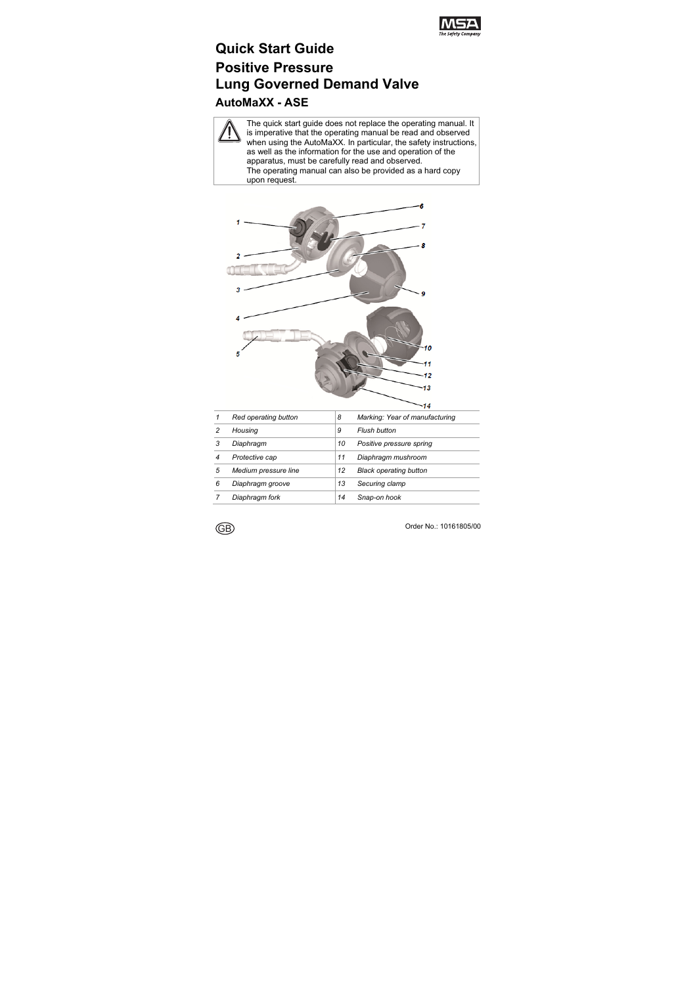

# **Quick Start Guide Positive Pressure Lung Governed Demand Valve AutoMaXX - ASE**

The quick start guide does not replace the operating manual. It is imperative that the operating manual be read and observed when using the AutoMaXX. In particular, the safety instructions, as well as the information for the use and operation of the apparatus, must be carefully read and observed. The operating manual can also be provided as a hard copy upon request.



|   | Red operating button | 8  | Marking: Year of manufacturing |
|---|----------------------|----|--------------------------------|
| 2 | Housina              | 9  | Flush button                   |
| 3 | Diaphragm            | 10 | Positive pressure spring       |
| 4 | Protective cap       | 11 | Diaphragm mushroom             |
| 5 | Medium pressure line | 12 | <b>Black operating button</b>  |
| 6 | Diaphragm groove     | 13 | Securing clamp                 |
|   | Diaphragm fork       | 14 | Snap-on hook                   |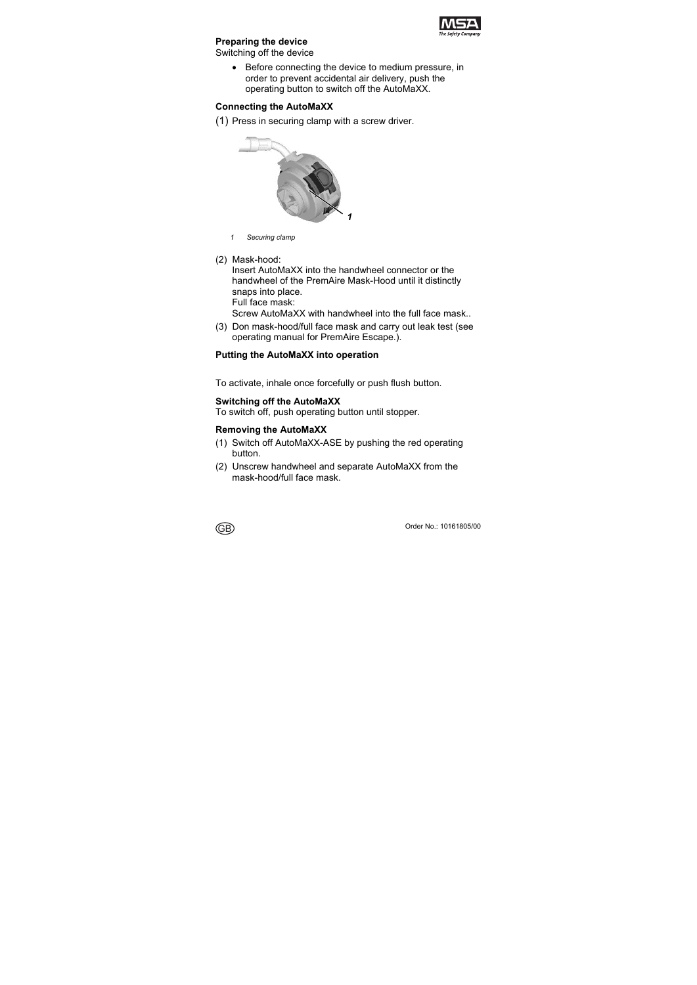

# **Preparing the device**

Switching off the device

 Before connecting the device to medium pressure, in order to prevent accidental air delivery, push the operating button to switch off the AutoMaXX.

#### **Connecting the AutoMaXX**

(1) Press in securing clamp with a screw driver.



- *1 Securing clamp*
- (2) Mask-hood:

Insert AutoMaXX into the handwheel connector or the handwheel of the PremAire Mask-Hood until it distinctly snaps into place.

Full face mask:

Screw AutoMaXX with handwheel into the full face mask..

(3) Don mask-hood/full face mask and carry out leak test (see operating manual for PremAire Escape.).

#### **Putting the AutoMaXX into operation**

To activate, inhale once forcefully or push flush button.

#### **Switching off the AutoMaXX**

To switch off, push operating button until stopper.

#### **Removing the AutoMaXX**

- (1) Switch off AutoMaXX-ASE by pushing the red operating button.
- (2) Unscrew handwheel and separate AutoMaXX from the mask-hood/full face mask.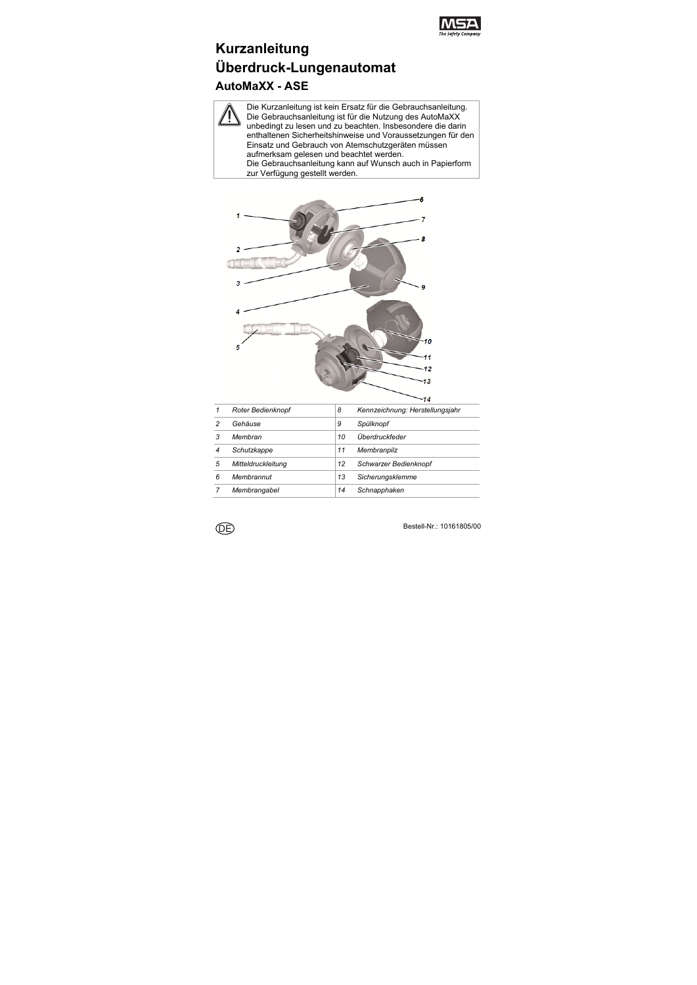

# **Kurzanleitung Überdruck-Lungenautomat AutoMaXX - ASE**

Die Kurzanleitung ist kein Ersatz für die Gebrauchsanleitung. Die Gebrauchsanleitung ist für die Nutzung des AutoMaXX unbedingt zu lesen und zu beachten. Insbesondere die darin enthaltenen Sicherheitshinweise und Voraussetzungen für den Einsatz und Gebrauch von Atemschutzgeräten müssen aufmerksam gelesen und beachtet werden. Die Gebrauchsanleitung kann auf Wunsch auch in Papierform

zur Verfügung gestellt werden.



|   | Roter Bedienknopf  | 8  | Kennzeichnung: Herstellungsjahr |
|---|--------------------|----|---------------------------------|
| 2 | Gehäuse            | 9  | Spülknopf                       |
| 3 | Membran            | 10 | Überdruckfeder                  |
| 4 | Schutzkappe        | 11 | Membranpilz                     |
| 5 | Mitteldruckleitung | 12 | Schwarzer Bedienknopf           |
| 6 | Membrannut         | 13 | Sicherungsklemme                |
|   | Membrangabel       | 14 | Schnapphaken                    |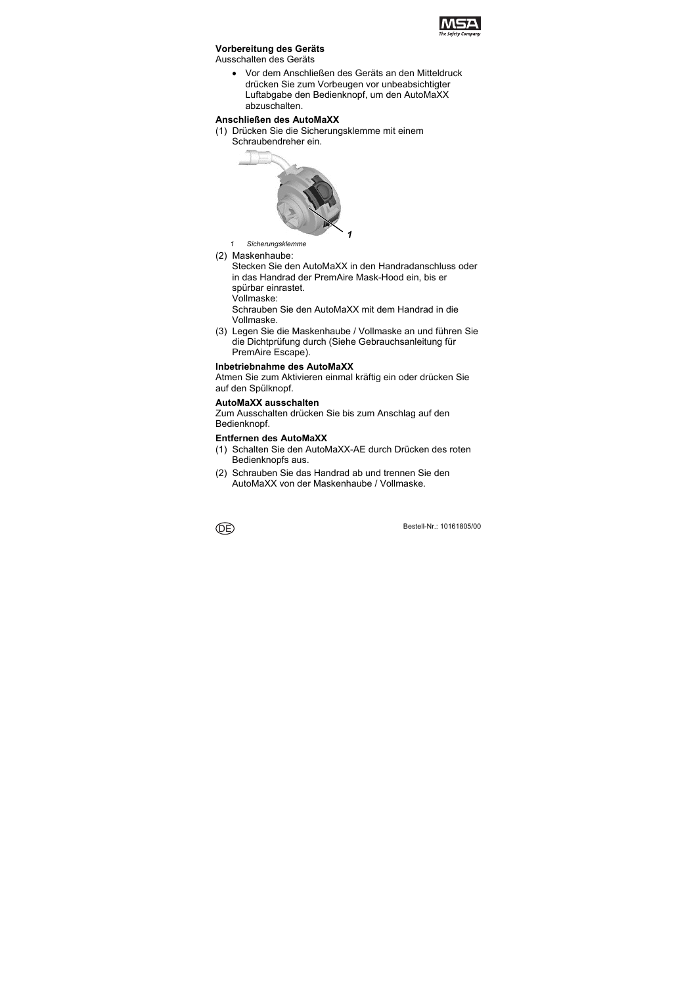

### **Vorbereitung des Geräts**

Ausschalten des Geräts

 Vor dem Anschließen des Geräts an den Mitteldruck drücken Sie zum Vorbeugen vor unbeabsichtigter Luftabgabe den Bedienknopf, um den AutoMaXX abzuschalten.

### **Anschließen des AutoMaXX**

(1) Drücken Sie die Sicherungsklemme mit einem Schraubendreher ein.



- *1 Sicherungsklemme*
- (2) Maskenhaube:

Stecken Sie den AutoMaXX in den Handradanschluss oder in das Handrad der PremAire Mask-Hood ein, bis er spürbar einrastet.

Vollmaske:

Schrauben Sie den AutoMaXX mit dem Handrad in die Vollmaske.

(3) Legen Sie die Maskenhaube / Vollmaske an und führen Sie die Dichtprüfung durch (Siehe Gebrauchsanleitung für PremAire Escape).

#### **Inbetriebnahme des AutoMaXX**

Atmen Sie zum Aktivieren einmal kräftig ein oder drücken Sie auf den Spülknopf.

#### **AutoMaXX ausschalten**

Zum Ausschalten drücken Sie bis zum Anschlag auf den Bedienknopf.

#### **Entfernen des AutoMaXX**

- (1) Schalten Sie den AutoMaXX-AE durch Drücken des roten Bedienknopfs aus.
- (2) Schrauben Sie das Handrad ab und trennen Sie den AutoMaXX von der Maskenhaube / Vollmaske.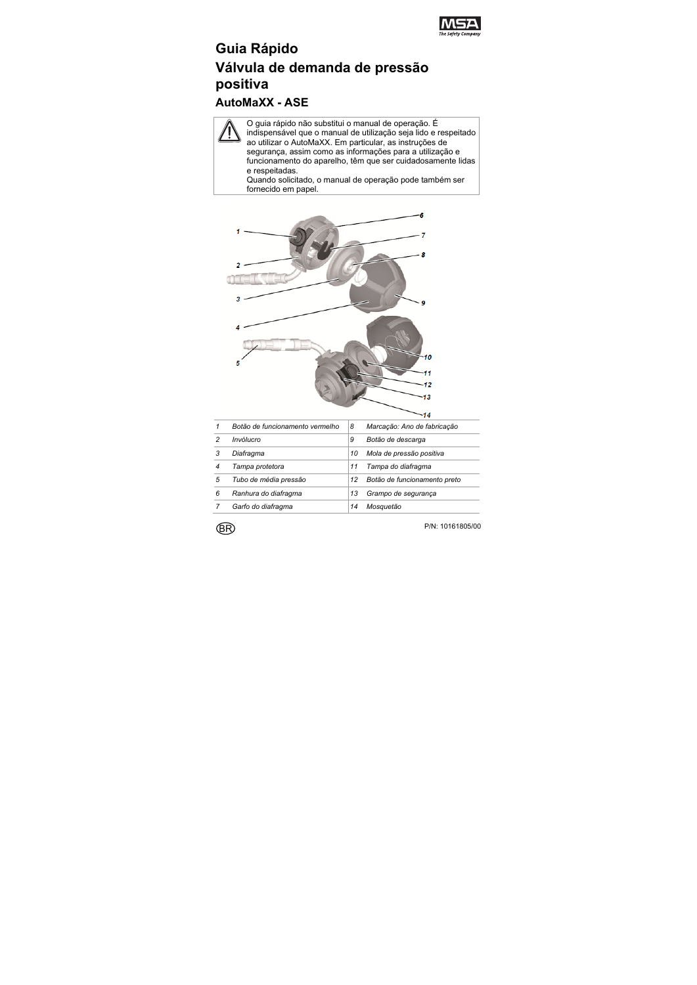

# **Guia Rápido Válvula de demanda de pressão positiva**

# **AutoMaXX - ASE**

O guia rápido não substitui o manual de operação. É indispensável que o manual de utilização seja lido e respeitado ao utilizar o AutoMaXX. Em particular, as instruções de segurança, assim como as informações para a utilização e funcionamento do aparelho, têm que ser cuidadosamente lidas e respeitadas.

Quando solicitado, o manual de operação pode também ser fornecido em papel.



|   |                                 |    | -                            |
|---|---------------------------------|----|------------------------------|
|   | Botão de funcionamento vermelho | 8  | Marcação: Ano de fabricação  |
| 2 | Invólucro                       | 9  | Botão de descarga            |
|   | Diafragma                       | 10 | Mola de pressão positiva     |
| 4 | Tampa protetora                 | 11 | Tampa do diafragma           |
| 5 | Tubo de média pressão           | 12 | Botão de funcionamento preto |
| 6 | Ranhura do diafragma            | 13 | Grampo de segurança          |
|   | Garfo do diafragma              | 14 | Mosauetão                    |

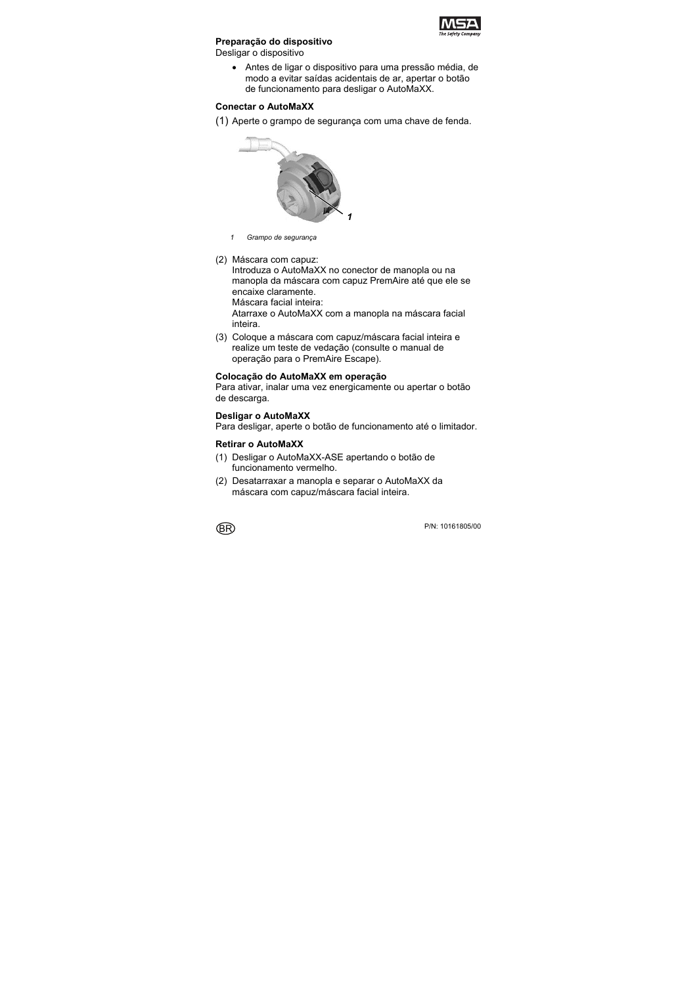

### **Preparação do dispositivo**

Desligar o dispositivo

 Antes de ligar o dispositivo para uma pressão média, de modo a evitar saídas acidentais de ar, apertar o botão de funcionamento para desligar o AutoMaXX.

#### **Conectar o AutoMaXX**

(1) Aperte o grampo de segurança com uma chave de fenda.



- *1 Grampo de segurança*
- (2) Máscara com capuz:

Introduza o AutoMaXX no conector de manopla ou na manopla da máscara com capuz PremAire até que ele se encaixe claramente.

Máscara facial inteira:

Atarraxe o AutoMaXX com a manopla na máscara facial inteira.

(3) Coloque a máscara com capuz/máscara facial inteira e realize um teste de vedação (consulte o manual de operação para o PremAire Escape).

#### **Colocação do AutoMaXX em operação**

Para ativar, inalar uma vez energicamente ou apertar o botão de descarga.

#### **Desligar o AutoMaXX**

Para desligar, aperte o botão de funcionamento até o limitador.

### **Retirar o AutoMaXX**

- (1) Desligar o AutoMaXX-ASE apertando o botão de funcionamento vermelho.
- (2) Desatarraxar a manopla e separar o AutoMaXX da máscara com capuz/máscara facial inteira.

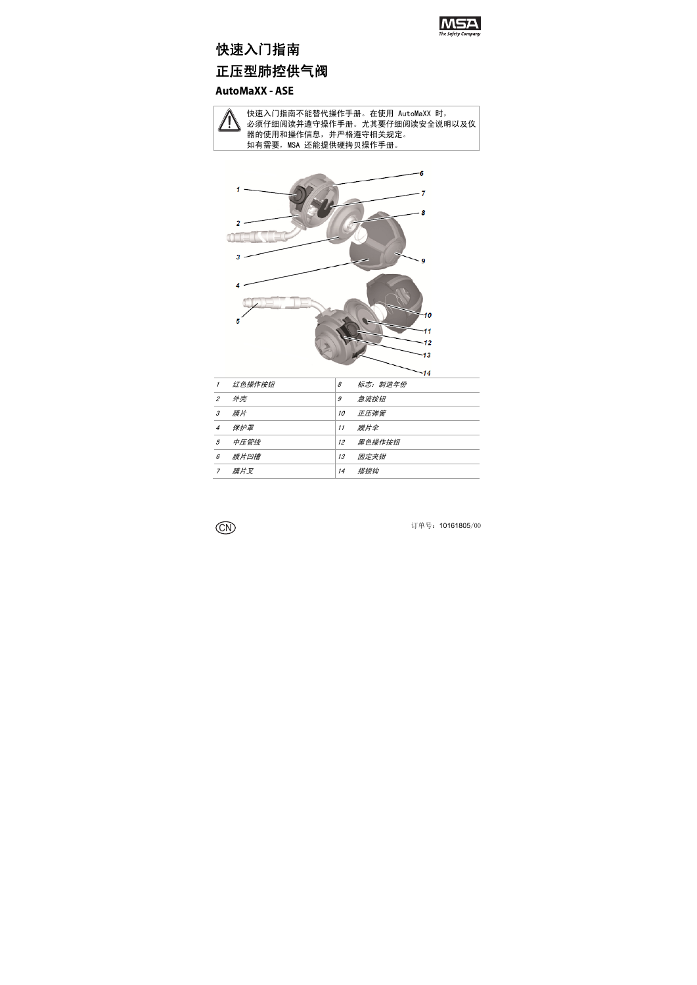

# 快速入门指南 正压型肺控供气阀

# **AutoMaXX - ASE**



快速入门指南不能替代操作手册。在使用 AutoMaXX 时, 必须仔细阅读并遵守操作手册。尤其要仔细阅读安全说明以及仪 器的使用和操作信息,并严格遵守相关规定。 如有需要, MSA 还能提供硬拷贝操作手册。



| $\mathcal I$   | 红色操作按钮 | 8  | 标志:制造年份 |
|----------------|--------|----|---------|
| $\overline{c}$ | 外壳     | 9  | 急流按钮    |
| 3              | 膜片     | 10 | 正压弹簧    |
| $\overline{4}$ | 保护罩    | 11 | 膜片伞     |
| 5              | 中压管线   | 12 | 黑色操作按钮  |
| 6              | 膜片凹槽   | 13 | 固定夹钳    |
| 7              | 膜片叉    | 14 | 搭锁钩     |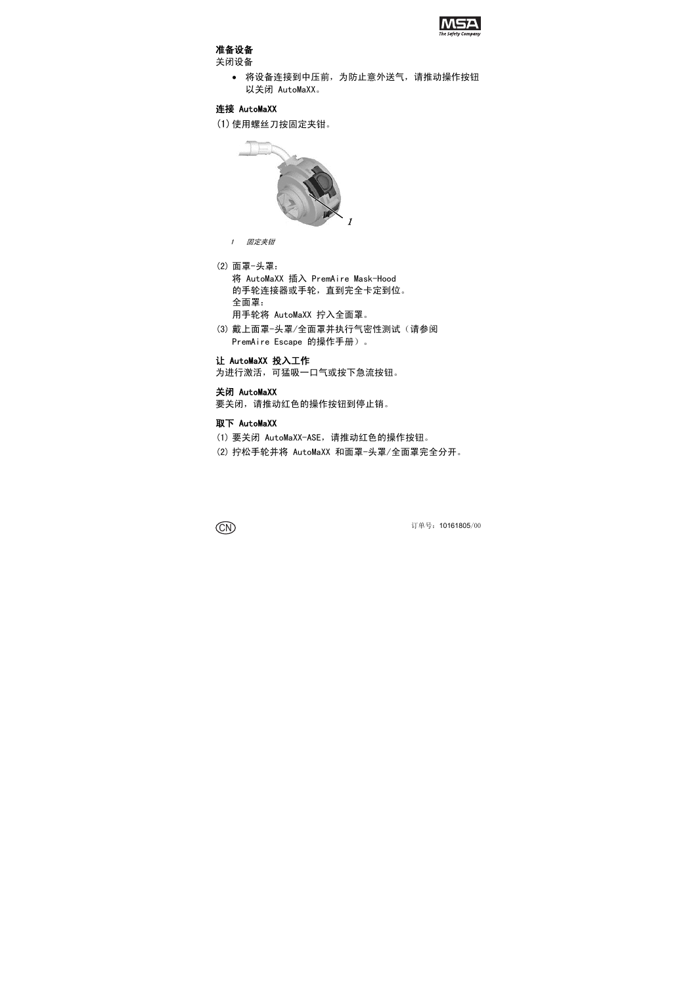

## 准备设备

关闭设备

 将设备连接到中压前,为防止意外送气,请推动操作按钮 以关闭 AutoMaXX。

#### 连接 AutoMaXX

(1) 使用螺丝刀按固定夹钳。



- 1 固定夹钳
- (2) 面罩-头罩:

将 AutoMaXX 插入 PremAire Mask-Hood 的手轮连接器或手轮,直到完全卡定到位。 全面罩: 用手轮将 AutoMaXX 拧入全面罩。

(3) 戴上面罩-头罩/全面罩并执行气密性测试(请参阅 PremAire Escape 的操作手册)。

#### 让 AutoMaXX 投入工作

为进行激活,可猛吸一口气或按下急流按钮。

#### 关闭 AutoMaXX

要关闭,请推动红色的操作按钮到停止销。

#### 取下 AutoMaXX

- (1) 要关闭 AutoMaXX-ASE,请推动红色的操作按钮。
- (2) 拧松手轮并将 AutoMaXX 和面罩-头罩/全面罩完全分开。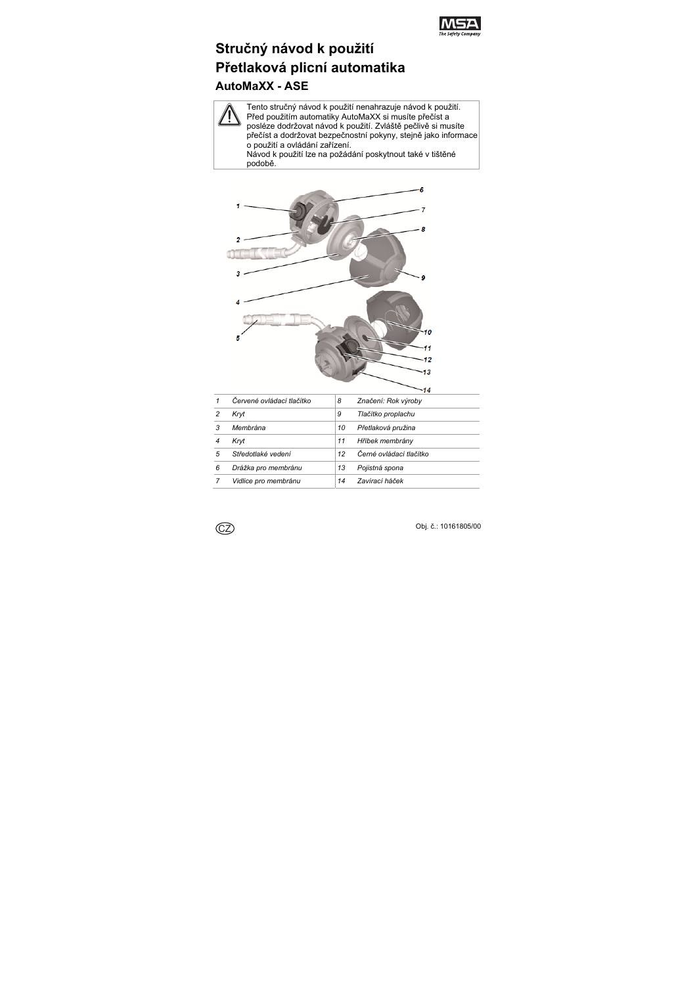

# **Stručný návod k použití Přetlaková plicní automatika AutoMaXX - ASE**

Tento stručný návod k použití nenahrazuje návod k použití. Před použitím automatiky AutoMaXX si musíte přečíst a posléze dodržovat návod k použití. Zvláště pečlivě si musíte přečíst a dodržovat bezpečnostní pokyny, stejně jako informace o použití a ovládání zařízení. Návod k použití lze na požádání poskytnout také v tištěné podobě.



|   | Červené ovládací tlačítko | 8  | Značení: Rok výroby     |
|---|---------------------------|----|-------------------------|
| 2 | Kryt                      | 9  | Tlačítko proplachu      |
| 3 | Membrána                  | 10 | Přetlaková pružina      |
|   | Kryt                      | 11 | Hříbek membrány         |
| 5 | Středotlaké vedení        | 12 | Černé ovládací tlačítko |
| 6 | Drážka pro membránu       | 13 | Pojistná spona          |
|   | Vidlice pro membránu      | 14 | Zavírací háček          |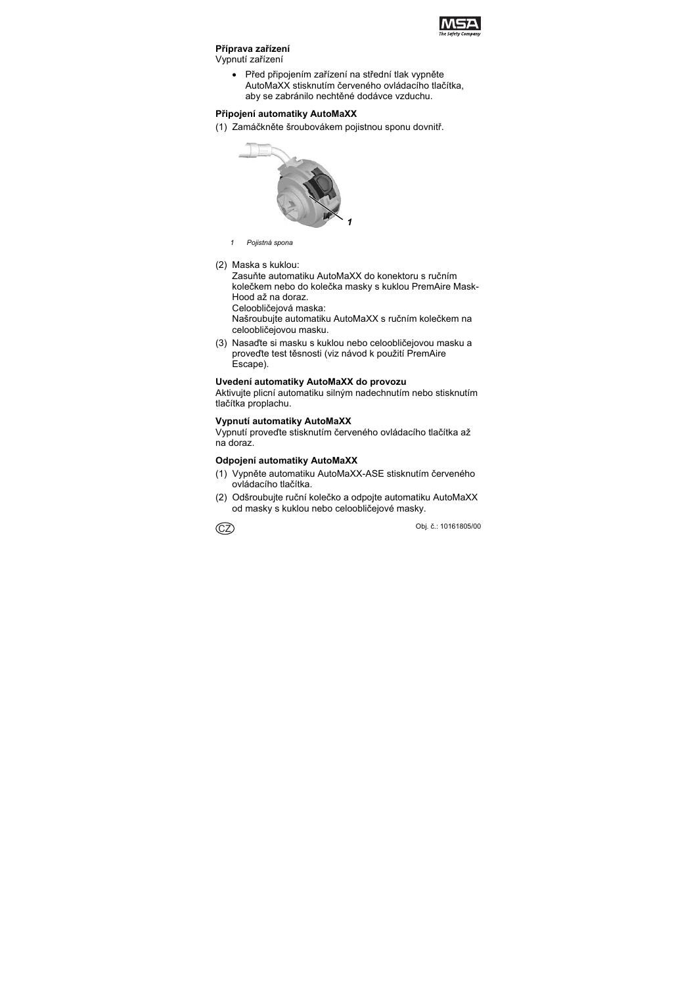

#### **Příprava zařízení**

Vypnutí zařízení

 Před připojením zařízení na střední tlak vypněte AutoMaXX stisknutím červeného ovládacího tlačítka, aby se zabránilo nechtěné dodávce vzduchu.

### **Připojení automatiky AutoMaXX**

(1) Zamáčkněte šroubovákem pojistnou sponu dovnitř.



- *1 Pojistná spona*
- (2) Maska s kuklou:

Zasuňte automatiku AutoMaXX do konektoru s ručním kolečkem nebo do kolečka masky s kuklou PremAire Mask-Hood až na doraz.

Celoobličejová maska:

Našroubujte automatiku AutoMaXX s ručním kolečkem na celoobličejovou masku.

(3) Nasaďte si masku s kuklou nebo celoobličejovou masku a proveďte test těsnosti (viz návod k použití PremAire Escape).

### **Uvedení automatiky AutoMaXX do provozu**

Aktivujte plicní automatiku silným nadechnutím nebo stisknutím tlačítka proplachu.

### **Vypnutí automatiky AutoMaXX**

Vypnutí proveďte stisknutím červeného ovládacího tlačítka až na doraz.

### **Odpojení automatiky AutoMaXX**

- (1) Vypněte automatiku AutoMaXX-ASE stisknutím červeného ovládacího tlačítka.
- (2) Odšroubujte ruční kolečko a odpojte automatiku AutoMaXX od masky s kuklou nebo celoobličejové masky.

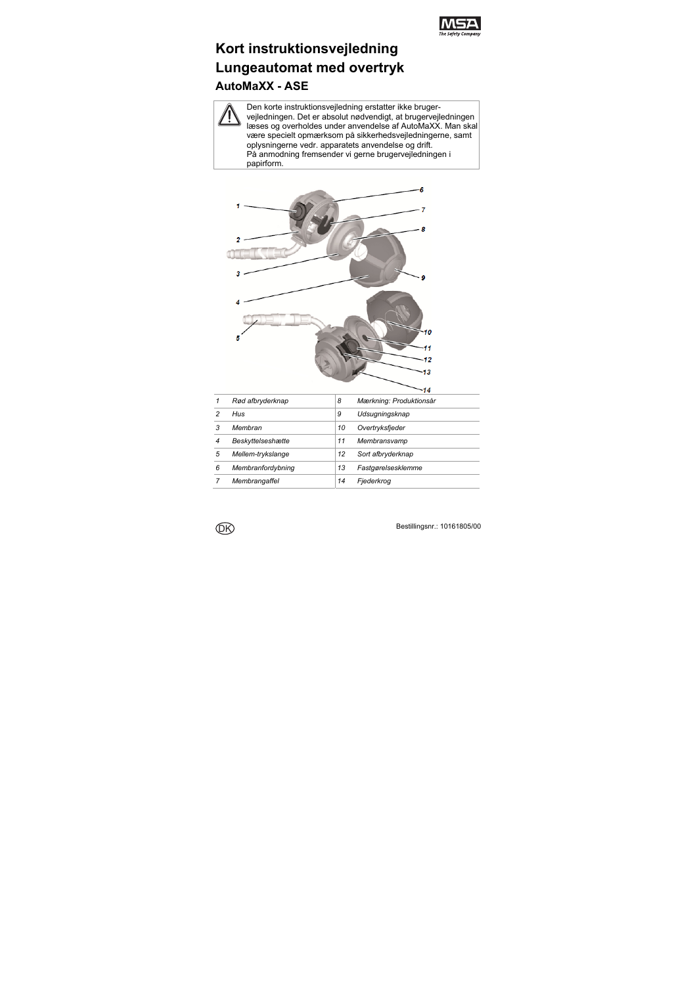

# **Kort instruktionsvejledning Lungeautomat med overtryk AutoMaXX - ASE**

Den korte instruktionsvejledning erstatter ikke brugervejledningen. Det er absolut nødvendigt, at brugervejledningen læses og overholdes under anvendelse af AutoMaXX. Man skal være specielt opmærksom på sikkerhedsvejledningerne, samt oplysningerne vedr. apparatets anvendelse og drift. På anmodning fremsender vi gerne brugervejledningen i papirform.



|   | Rød afbryderknap  | 8  | Mærkning: Produktionsår |
|---|-------------------|----|-------------------------|
|   | Hus               | 9  | Udsugningsknap          |
| 3 | Membran           | 10 | Overtryksfjeder         |
|   | Beskyttelseshætte | 11 | Membransvamp            |
| 5 | Mellem-trykslange | 12 | Sort afbryderknap       |
| 6 | Membranfordybning | 13 | Fastgørelsesklemme      |
|   | Membrangaffel     | 14 | Fiederkroa              |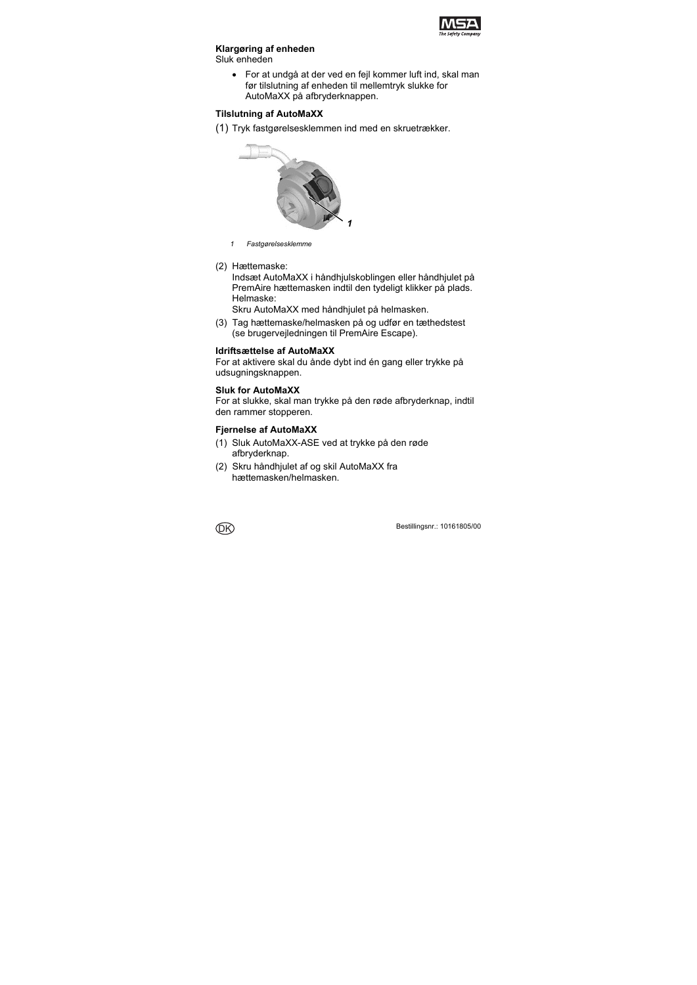

### **Klargøring af enheden**

Sluk enheden

 For at undgå at der ved en fejl kommer luft ind, skal man før tilslutning af enheden til mellemtryk slukke for AutoMaXX på afbryderknappen.

## **Tilslutning af AutoMaXX**

(1) Tryk fastgørelsesklemmen ind med en skruetrækker.



- *1 Fastgørelsesklemme*
- (2) Hættemaske:

Indsæt AutoMaXX i håndhjulskoblingen eller håndhjulet på PremAire hættemasken indtil den tydeligt klikker på plads. Helmaske:

Skru AutoMaXX med håndhjulet på helmasken.

(3) Tag hættemaske/helmasken på og udfør en tæthedstest (se brugervejledningen til PremAire Escape).

### **Idriftsættelse af AutoMaXX**

For at aktivere skal du ånde dybt ind én gang eller trykke på udsugningsknappen.

#### **Sluk for AutoMaXX**

For at slukke, skal man trykke på den røde afbryderknap, indtil den rammer stopperen.

### **Fjernelse af AutoMaXX**

- (1) Sluk AutoMaXX-ASE ved at trykke på den røde afbryderknap.
- (2) Skru håndhjulet af og skil AutoMaXX fra hættemasken/helmasken.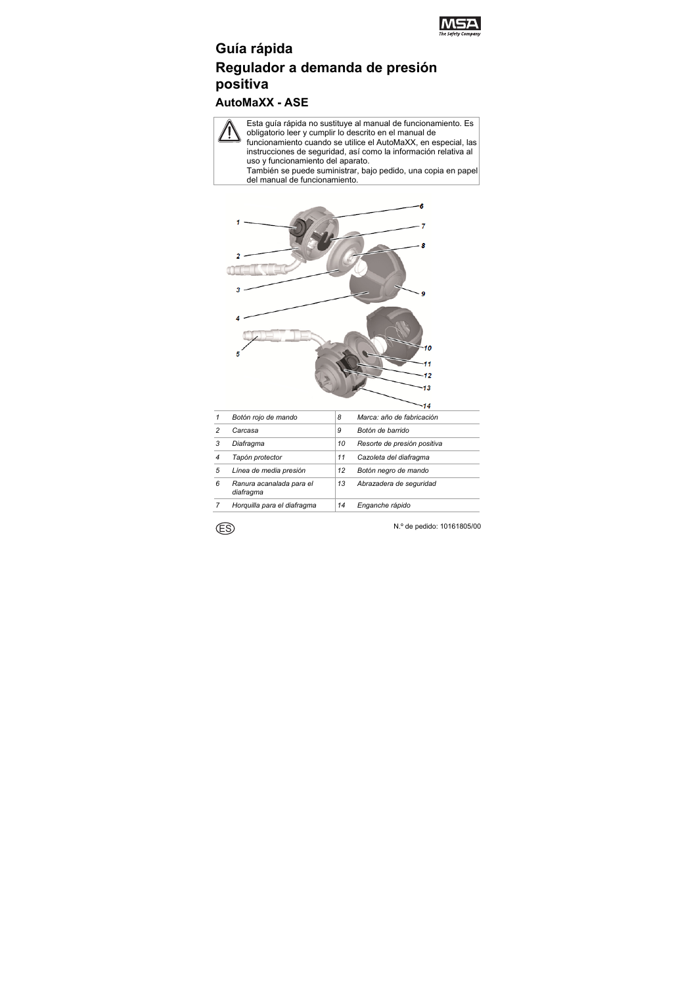

# **Guía rápida Regulador a demanda de presión positiva**

# **AutoMaXX - ASE**

Esta guía rápida no sustituye al manual de funcionamiento. Es obligatorio leer y cumplir lo descrito en el manual de funcionamiento cuando se utilice el AutoMaXX, en especial, las instrucciones de seguridad, así como la información relativa al uso y funcionamiento del aparato. También se puede suministrar, bajo pedido, una copia en papel

del manual de funcionamiento.



| 1 | Botón rojo de mando                   | 8  | Marca: año de fabricación   |
|---|---------------------------------------|----|-----------------------------|
| 2 | Carcasa                               | 9  | Botón de barrido            |
| 3 | Diafragma                             | 10 | Resorte de presión positiva |
| 4 | Tapón protector                       | 11 | Cazoleta del diafragma      |
| 5 | Línea de media presión                | 12 | Botón negro de mando        |
| 6 | Ranura acanalada para el<br>diafragma | 13 | Abrazadera de seguridad     |
|   | Horquilla para el diafragma           | 14 | Enganche rápido             |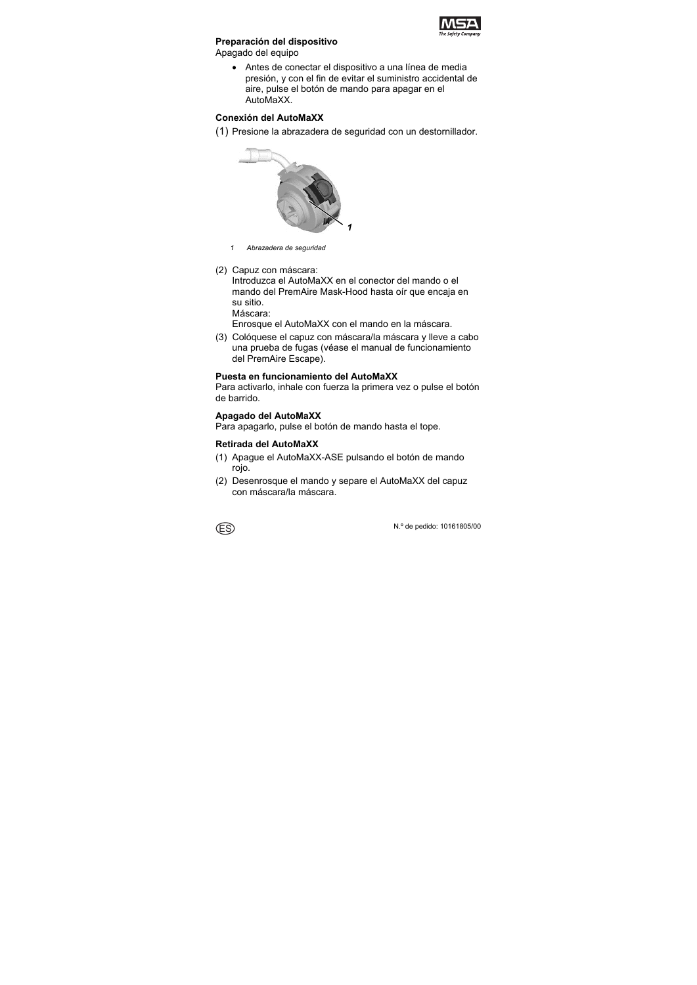

## **Preparación del dispositivo**

Apagado del equipo

 Antes de conectar el dispositivo a una línea de media presión, y con el fin de evitar el suministro accidental de aire, pulse el botón de mando para apagar en el AutoMaXX.

### **Conexión del AutoMaXX**

(1) Presione la abrazadera de seguridad con un destornillador.



- *1 Abrazadera de seguridad*
- (2) Capuz con máscara:

Introduzca el AutoMaXX en el conector del mando o el mando del PremAire Mask-Hood hasta oír que encaja en su sitio.

Máscara:

Enrosque el AutoMaXX con el mando en la máscara.

(3) Colóquese el capuz con máscara/la máscara y lleve a cabo una prueba de fugas (véase el manual de funcionamiento del PremAire Escape).

#### **Puesta en funcionamiento del AutoMaXX**

Para activarlo, inhale con fuerza la primera vez o pulse el botón de barrido.

### **Apagado del AutoMaXX**

Para apagarlo, pulse el botón de mando hasta el tope.

### **Retirada del AutoMaXX**

- (1) Apague el AutoMaXX-ASE pulsando el botón de mando rojo.
- (2) Desenrosque el mando y separe el AutoMaXX del capuz con máscara/la máscara.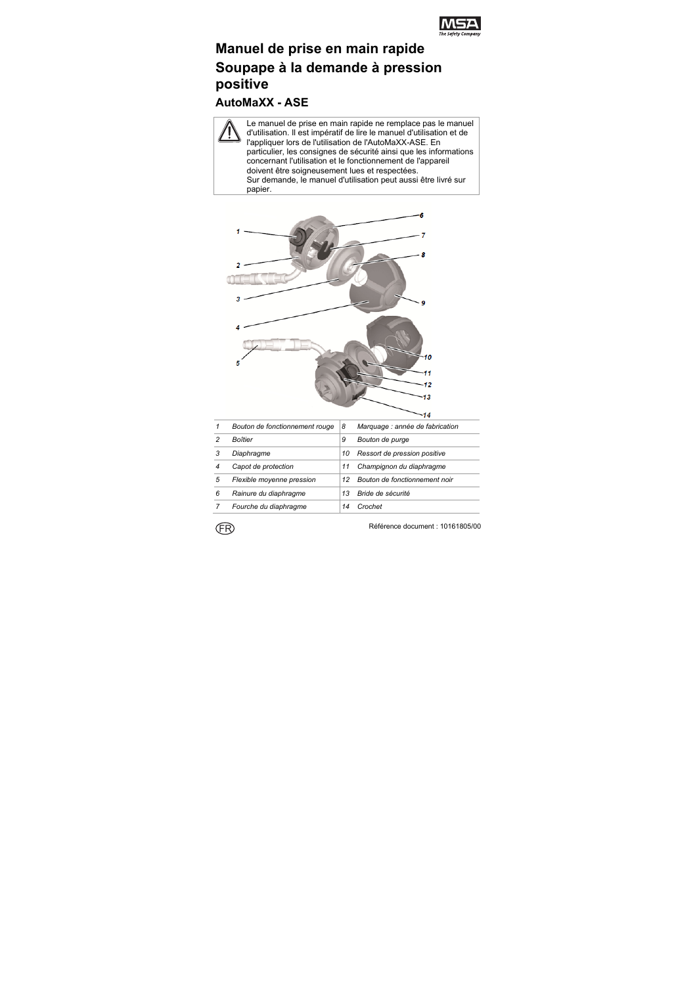

# **Manuel de prise en main rapide Soupape à la demande à pression positive**

**AutoMaXX - ASE** 

Le manuel de prise en main rapide ne remplace pas le manuel d'utilisation. Il est impératif de lire le manuel d'utilisation et de l'appliquer lors de l'utilisation de l'AutoMaXX-ASE. En particulier, les consignes de sécurité ainsi que les informations concernant l'utilisation et le fonctionnement de l'appareil doivent être soigneusement lues et respectées. Sur demande, le manuel d'utilisation peut aussi être livré sur papier.



| 1 | Bouton de fonctionnement rouge | 8  | Marquage : année de fabrication |
|---|--------------------------------|----|---------------------------------|
| 2 | Boîtier                        | 9  | Bouton de purge                 |
|   | Diaphragme                     | 10 | Ressort de pression positive    |
| 4 | Capot de protection            | 11 | Champignon du diaphragme        |
| 5 | Flexible moyenne pression      | 12 | Bouton de fonctionnement noir   |
| 6 | Rainure du diaphragme          | 13 | Bride de sécurité               |
|   | Fourche du diaphragme          |    | Crochet                         |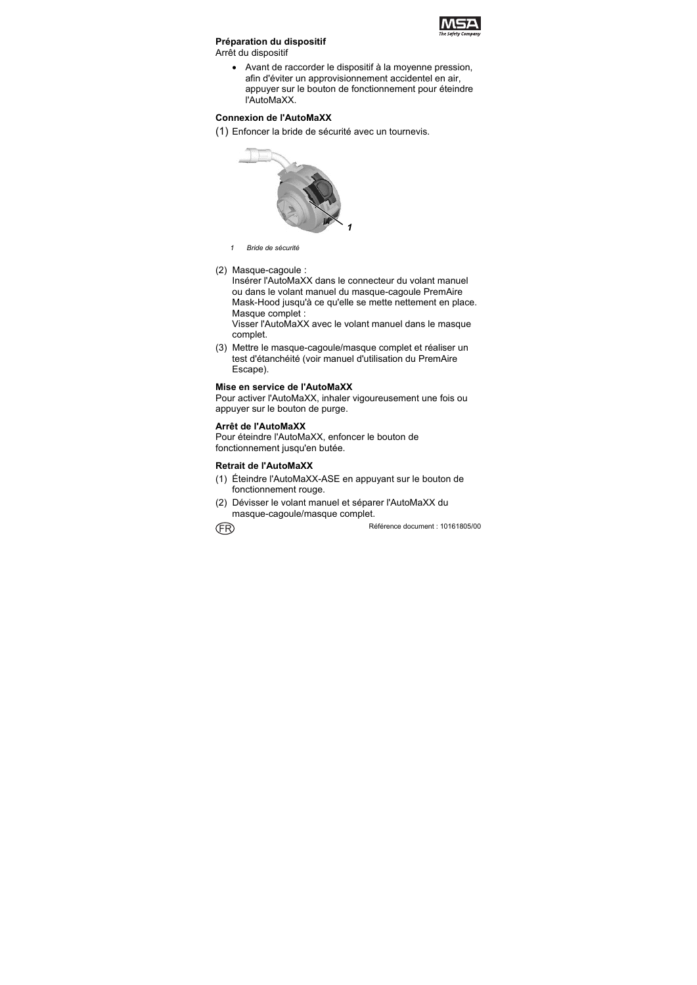

## **Préparation du dispositif**

Arrêt du dispositif

 Avant de raccorder le dispositif à la moyenne pression, afin d'éviter un approvisionnement accidentel en air, appuyer sur le bouton de fonctionnement pour éteindre l'AutoMaXX.

## **Connexion de l'AutoMaXX**

(1) Enfoncer la bride de sécurité avec un tournevis.



- *1 Bride de sécurité*
- (2) Masque-cagoule :

Insérer l'AutoMaXX dans le connecteur du volant manuel ou dans le volant manuel du masque-cagoule PremAire Mask-Hood jusqu'à ce qu'elle se mette nettement en place. Masque complet :

Visser l'AutoMaXX avec le volant manuel dans le masque complet.

(3) Mettre le masque-cagoule/masque complet et réaliser un test d'étanchéité (voir manuel d'utilisation du PremAire Escape).

### **Mise en service de l'AutoMaXX**

Pour activer l'AutoMaXX, inhaler vigoureusement une fois ou appuyer sur le bouton de purge.

### **Arrêt de l'AutoMaXX**

Pour éteindre l'AutoMaXX, enfoncer le bouton de fonctionnement jusqu'en butée.

### **Retrait de l'AutoMaXX**

- (1) Éteindre l'AutoMaXX-ASE en appuyant sur le bouton de fonctionnement rouge.
- (2) Dévisser le volant manuel et séparer l'AutoMaXX du masque-cagoule/masque complet.

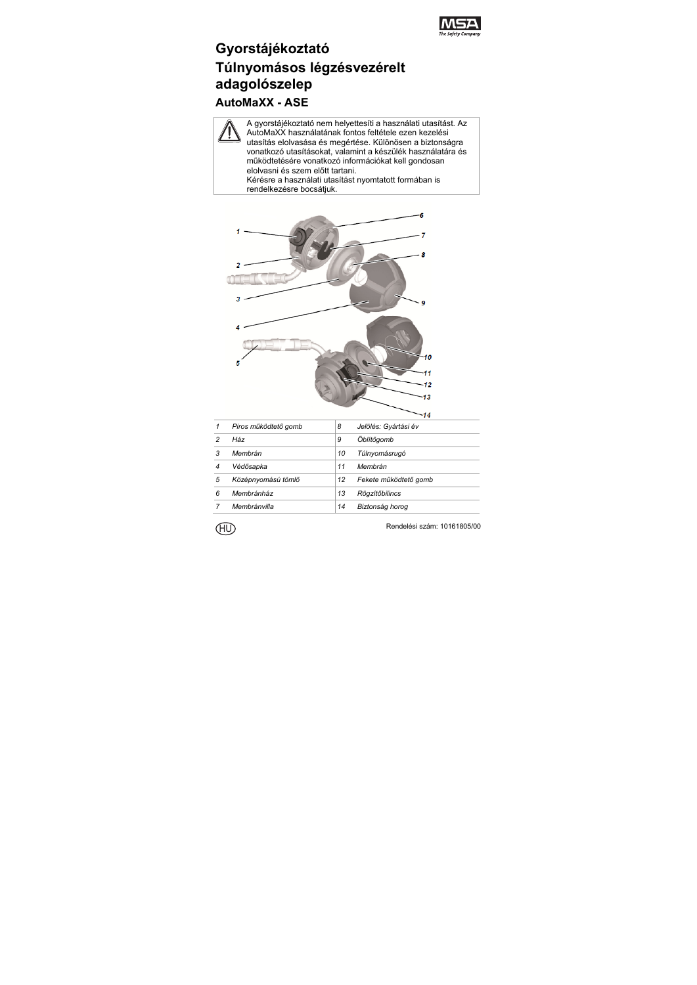

# **Gyorstájékoztató Túlnyomásos légzésvezérelt adagolószelep AutoMaXX - ASE**

A gyorstájékoztató nem helyettesíti a használati utasítást. Az AutoMaXX használatának fontos feltétele ezen kezelési utasítás elolvasása és megértése. Különösen a biztonságra vonatkozó utasításokat, valamint a készülék használatára és működtetésére vonatkozó információkat kell gondosan elolvasni és szem előtt tartani. Kérésre a használati utasítást nyomtatott formában is rendelkezésre bocsátjuk.



| 1 | Piros működtető gomb | 8  | Jelölés: Gyártási év  |
|---|----------------------|----|-----------------------|
| 2 | Ház                  | 9  | Öblítőaomb            |
| 3 | Membrán              | 10 | Túlnyomásrugó         |
| 4 | Védősapka            | 11 | Membrán               |
| 5 | Középnyomású tömlő   | 12 | Fekete működtető gomb |
| 6 | Membránház           | 13 | Rögzítőbilincs        |
|   | Membránvilla         | 14 | Biztonság horog       |

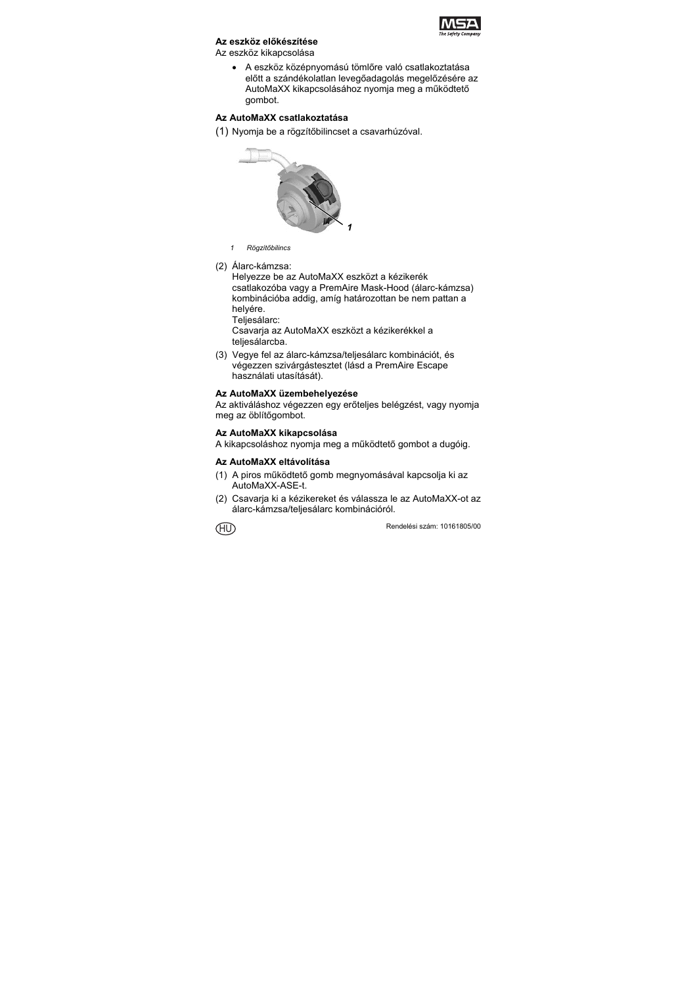

# **Az eszköz előkészítése**

Az eszköz kikapcsolása

 A eszköz középnyomású tömlőre való csatlakoztatása előtt a szándékolatlan levegőadagolás megelőzésére az AutoMaXX kikapcsolásához nyomja meg a működtető gombot.

# **Az AutoMaXX csatlakoztatása**

(1) Nyomja be a rögzítőbilincset a csavarhúzóval.



- *1 Rögzítőbilincs*
- (2) Álarc-kámzsa:

Helyezze be az AutoMaXX eszközt a kézikerék csatlakozóba vagy a PremAire Mask-Hood (álarc-kámzsa) kombinációba addig, amíg határozottan be nem pattan a helyére.

Teljesálarc: Csavarja az AutoMaXX eszközt a kézikerékkel a teljesálarcba.

(3) Vegye fel az álarc-kámzsa/teljesálarc kombinációt, és végezzen szivárgástesztet (lásd a PremAire Escape használati utasítását).

# **Az AutoMaXX üzembehelyezése**

Az aktiváláshoz végezzen egy erőteljes belégzést, vagy nyomja meg az öblítőgombot.

# **Az AutoMaXX kikapcsolása**

A kikapcsoláshoz nyomja meg a működtető gombot a dugóig.

# **Az AutoMaXX eltávolítása**

- (1) A piros működtető gomb megnyomásával kapcsolja ki az AutoMaXX-ASE-t.
- (2) Csavarja ki a kézikereket és válassza le az AutoMaXX-ot az álarc-kámzsa/teljesálarc kombinációról.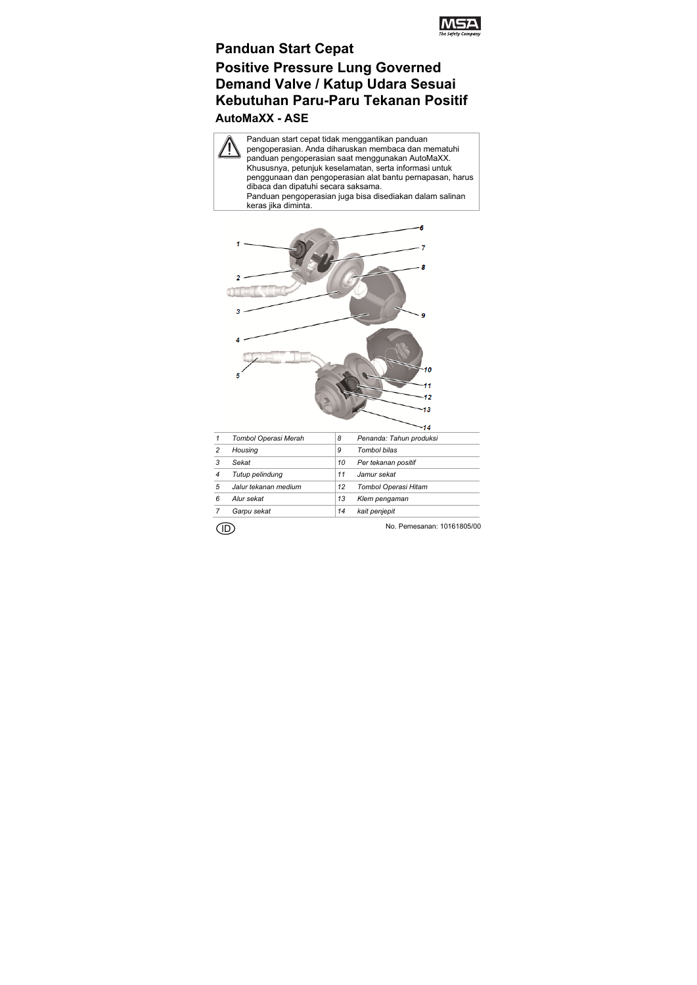

# **Panduan Start Cepat Positive Pressure Lung Governed Demand Valve / Katup Udara Sesuai Kebutuhan Paru-Paru Tekanan Positif AutoMaXX - ASE**

Panduan start cepat tidak menggantikan panduan pengoperasian. Anda diharuskan membaca dan mematuhi panduan pengoperasian saat menggunakan AutoMaXX. Khususnya, petunjuk keselamatan, serta informasi untuk penggunaan dan pengoperasian alat bantu pernapasan, harus dibaca dan dipatuhi secara saksama. Panduan pengoperasian juga bisa disediakan dalam salinan keras jika diminta.



| 1              | Tombol Operasi Merah | 8  | Penanda: Tahun produksi |
|----------------|----------------------|----|-------------------------|
| $\overline{c}$ | Housing              | 9  | Tombol bilas            |
| 3              | Sekat                | 10 | Per tekanan positif     |
| $\overline{4}$ | Tutup pelindung      | 11 | Jamur sekat             |
| 5              | Jalur tekanan medium | 12 | Tombol Operasi Hitam    |
| 6              | Alur sekat           | 13 | Klem pengaman           |
|                | Garpu sekat          | 14 | kait penjepit           |
|                |                      |    |                         |

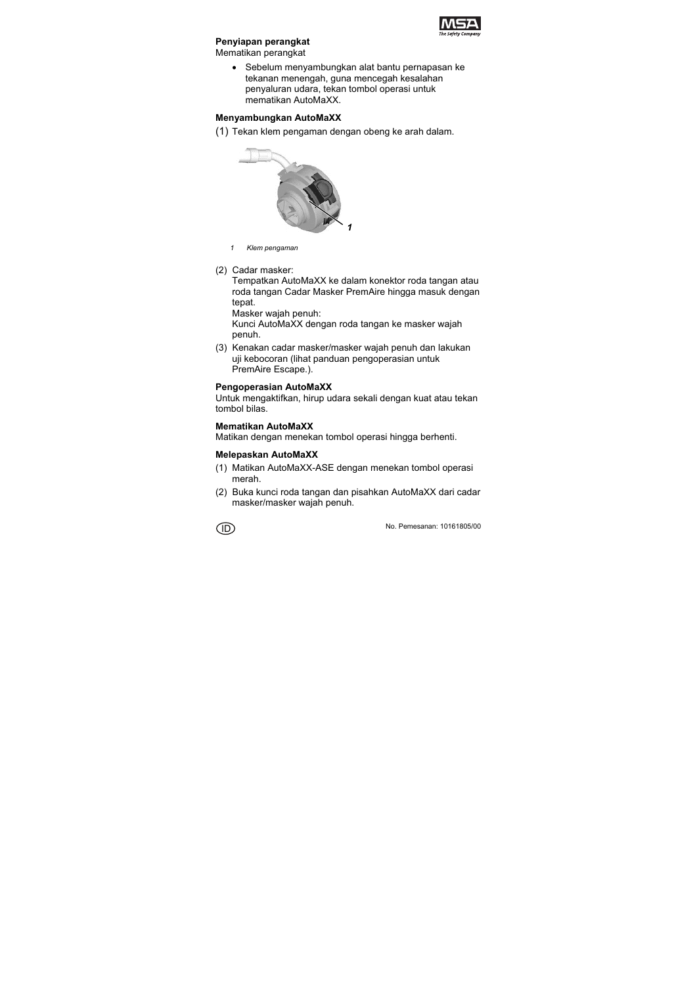

# **Penyiapan perangkat**

Mematikan perangkat

 Sebelum menyambungkan alat bantu pernapasan ke tekanan menengah, guna mencegah kesalahan penyaluran udara, tekan tombol operasi untuk mematikan AutoMaXX.

#### **Menyambungkan AutoMaXX**

(1) Tekan klem pengaman dengan obeng ke arah dalam.



- *1 Klem pengaman*
- (2) Cadar masker:

Tempatkan AutoMaXX ke dalam konektor roda tangan atau roda tangan Cadar Masker PremAire hingga masuk dengan tepat.

Masker wajah penuh:

Kunci AutoMaXX dengan roda tangan ke masker wajah penuh.

(3) Kenakan cadar masker/masker wajah penuh dan lakukan uji kebocoran (lihat panduan pengoperasian untuk PremAire Escape.).

### **Pengoperasian AutoMaXX**

Untuk mengaktifkan, hirup udara sekali dengan kuat atau tekan tombol bilas.

### **Mematikan AutoMaXX**

Matikan dengan menekan tombol operasi hingga berhenti.

#### **Melepaskan AutoMaXX**

- (1) Matikan AutoMaXX-ASE dengan menekan tombol operasi merah.
- (2) Buka kunci roda tangan dan pisahkan AutoMaXX dari cadar masker/masker wajah penuh.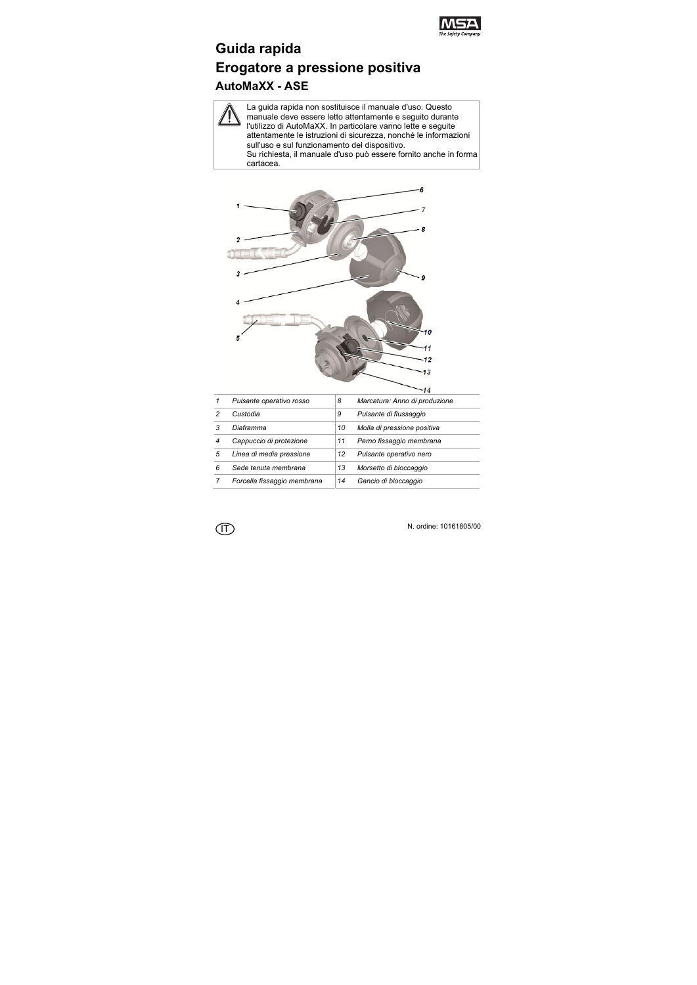

# **Guida rapida Erogatore a pressione positiva AutoMaXX - ASE**

La guida rapida non sostituisce il manuale d'uso. Questo manuale deve essere letto attentamente e seguito durante l'utilizzo di AutoMaXX. In particolare vanno lette e seguite attentamente le istruzioni di sicurezza, nonché le informazioni sull'uso e sul funzionamento del dispositivo. Su richiesta, il manuale d'uso può essere fornito anche in forma cartacea.



|   | Pulsante operativo rosso    | 8  | Marcatura: Anno di produzione |
|---|-----------------------------|----|-------------------------------|
| 2 | Custodia                    | 9  | Pulsante di flussaggio        |
| 3 | Diaframma                   | 10 | Molla di pressione positiva   |
| 4 | Cappuccio di protezione     | 11 | Perno fissaggio membrana      |
| 5 | Linea di media pressione    | 12 | Pulsante operativo nero       |
| 6 | Sede tenuta membrana        | 13 | Morsetto di bloccaggio        |
|   | Forcella fissaggio membrana | 14 | Gancio di bloccaggio          |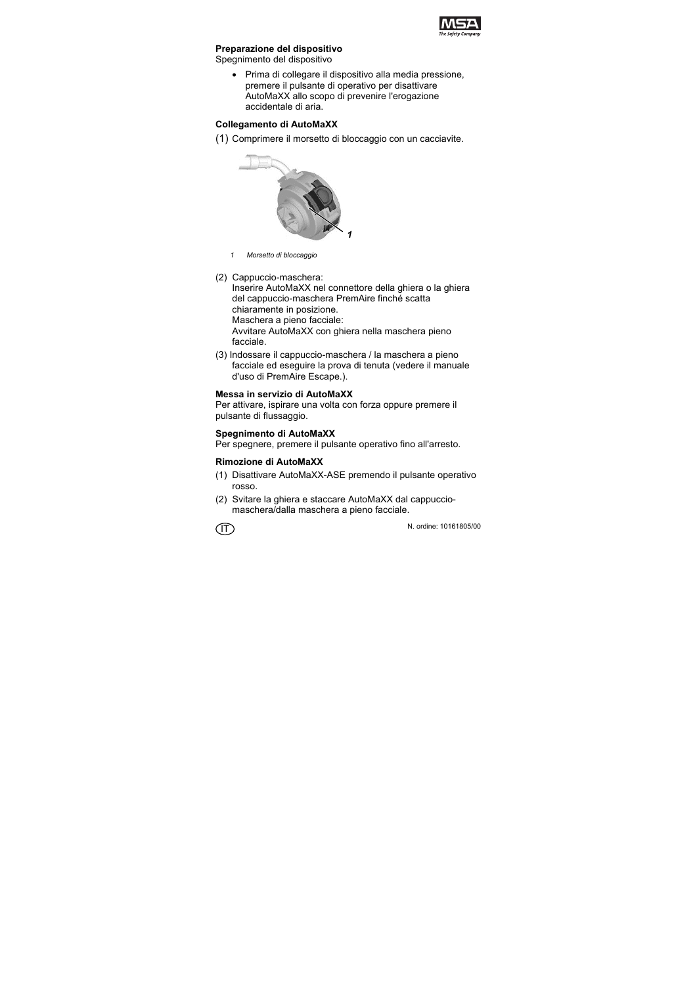

#### **Preparazione del dispositivo**

Spegnimento del dispositivo

 Prima di collegare il dispositivo alla media pressione, premere il pulsante di operativo per disattivare AutoMaXX allo scopo di prevenire l'erogazione accidentale di aria.

### **Collegamento di AutoMaXX**

(1) Comprimere il morsetto di bloccaggio con un cacciavite.



- *1 Morsetto di bloccaggio*
- (2) Cappuccio-maschera:

Inserire AutoMaXX nel connettore della ghiera o la ghiera del cappuccio-maschera PremAire finché scatta chiaramente in posizione.

Maschera a pieno facciale:

Avvitare AutoMaXX con ghiera nella maschera pieno facciale.

(3) Indossare il cappuccio-maschera / la maschera a pieno facciale ed eseguire la prova di tenuta (vedere il manuale d'uso di PremAire Escape.).

### **Messa in servizio di AutoMaXX**

Per attivare, ispirare una volta con forza oppure premere il pulsante di flussaggio.

### **Spegnimento di AutoMaXX**

Per spegnere, premere il pulsante operativo fino all'arresto.

## **Rimozione di AutoMaXX**

- (1) Disattivare AutoMaXX-ASE premendo il pulsante operativo rosso.
- (2) Svitare la ghiera e staccare AutoMaXX dal cappucciomaschera/dalla maschera a pieno facciale.

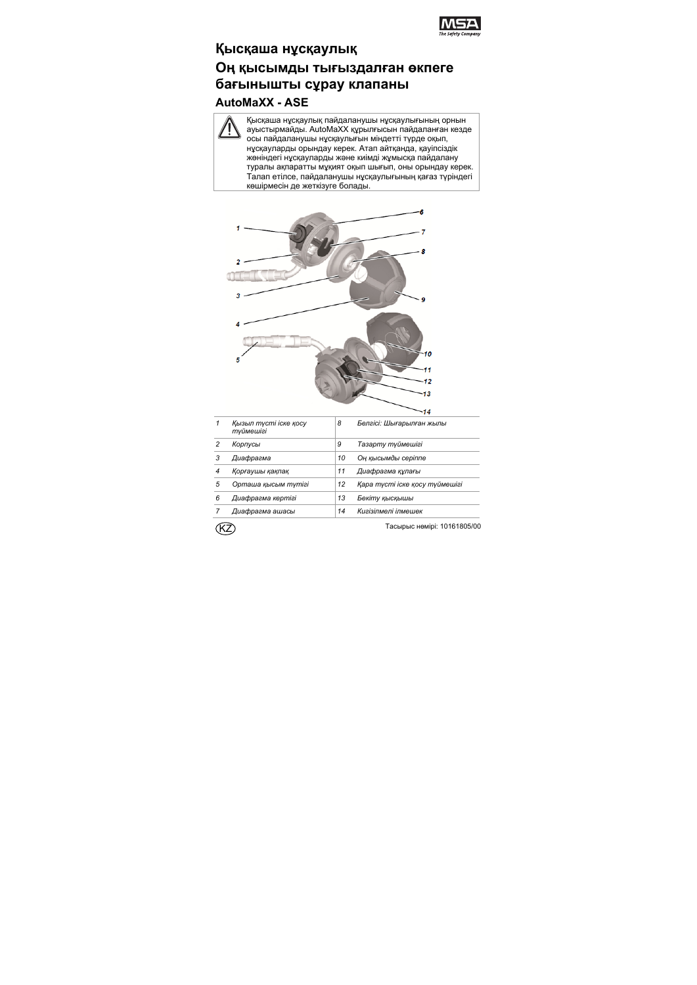

# **Қысқаша нұсқаулық**

# **Оң қысымды тығыздалған өкпеге бағынышты сұрау клапаны AutoMaXX - ASE**

Қысқаша нұсқаулық пайдаланушы нұсқаулығының орнын ауыстырмайды. AutoMaXX құрылғысын пайдаланған кезде осы пайдаланушы нұсқаулығын міндетті түрде оқып, нұсқауларды орындау керек. Атап айтқанда, қауіпсіздік жөніндегі нұсқауларды жəне киімді жұмысқа пайдалану туралы ақпаратты мұқият оқып шығып, оны орындау керек. Талап етілсе, пайдаланушы нұсқаулығының қағаз түріндегі көшірмесін де жеткізуге болады.



| 1 | Кызыл түсті іске қосу<br>түймешігі | 8  | Белгісі: Шығарылған жылы       |
|---|------------------------------------|----|--------------------------------|
| 2 | Корпусы                            | 9  | Тазарту түймешігі              |
| 3 | Диафрагма                          | 10 | Оң қысымды серіппе             |
| 4 | Қорғаушы қақпақ                    | 11 | Диафрагма құлағы               |
| 5 | Орташа қысым түтігі                | 12 | Қара түсті іске қосу түймешігі |
| 6 | Диафрагма кертігі                  | 13 | Бекіту қысқышы                 |
|   | Диафрагма ашасы                    | 14 | Кигізілмелі ілмешек            |

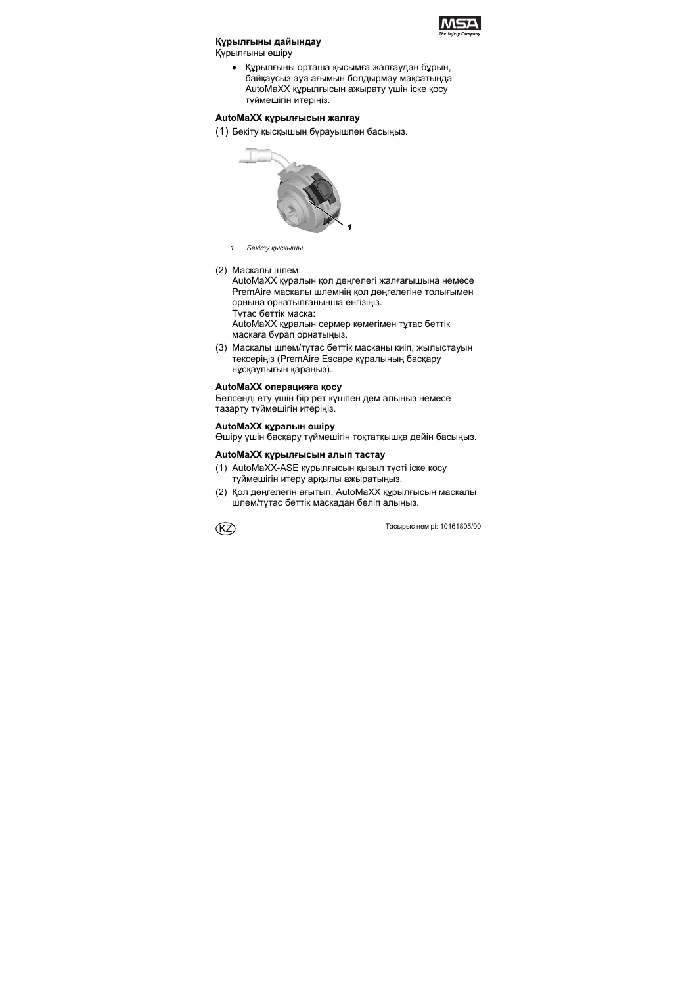

#### **Құрылғыны дайындау**

Құрылғыны өшіру

 Құрылғыны орташа қысымға жалғаудан бұрын, байқаусыз ауа ағымын болдырмау мақсатында AutoMaXX құрылғысын ажырату үшін іске қосу түймешігін итеріңіз.

### **AutoMaXX құрылғысын жалғау**

(1) Бекіту қысқышын бұрауышпен басыңыз.



- *1 Бекіту қысқышы*
- (2) Маскалы шлем:

AutoMaXX құралын қол дөңгелегі жалғағышына немесе PremAire маскалы шлемнің қол дөңгелегіне толығымен орнына орнатылғанынша енгізіңіз.

Тұтас беттік маска:

AutoMaXX құралын сермер көмегімен тұтас беттік маскаға бұрап орнатыңыз.

(3) Маскалы шлем/тұтас беттік масканы киіп, жылыстауын тексеріңіз (PremAire Escape құралының басқару нұсқаулығын қараңыз).

### **AutoMaXX операцияға қосу**

Белсенді ету үшін бір рет күшпен дем алыңыз немесе тазарту түймешігін итеріңіз.

### **AutoMaXX құралын өшіру**

Өшіру үшін басқару түймешігін тоқтатқышқа дейін басыңыз.

### **AutoMaXX құрылғысын алып тастау**

- (1) AutoMaXX-ASE құрылғысын қызыл түсті іске қосу түймешігін итеру арқылы ажыратыңыз.
- (2) Қол дөңгелегін ағытып, AutoMaXX құрылғысын маскалы шлем/тұтас беттік маскадан бөліп алыңыз.

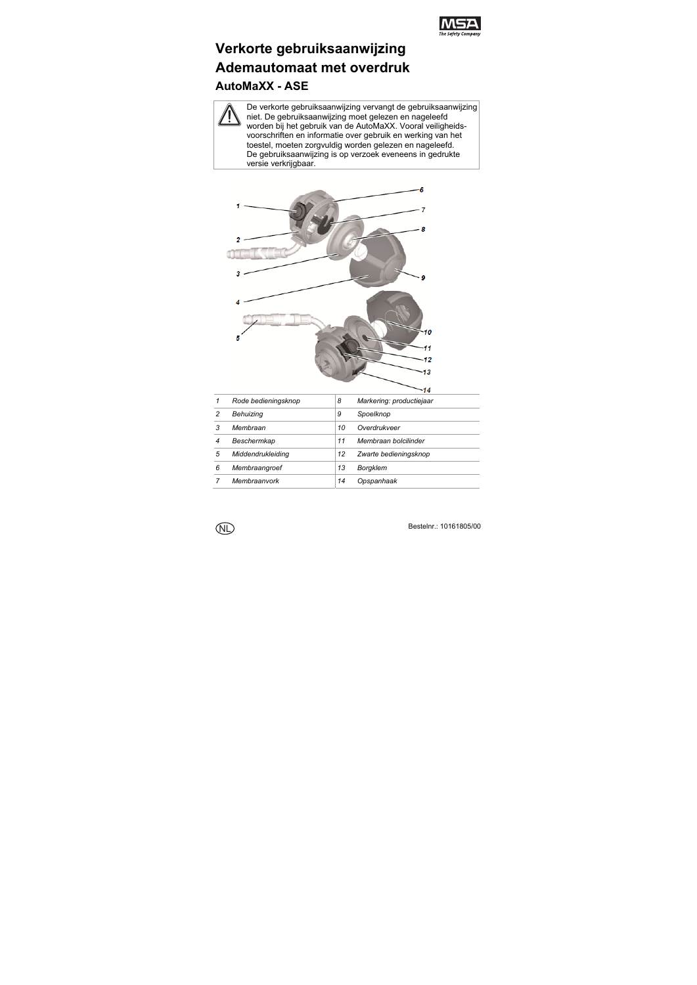

# **Verkorte gebruiksaanwijzing Ademautomaat met overdruk AutoMaXX - ASE**

De verkorte gebruiksaanwijzing vervangt de gebruiksaanwijzing niet. De gebruiksaanwijzing moet gelezen en nageleefd worden bij het gebruik van de AutoMaXX. Vooral veiligheidsvoorschriften en informatie over gebruik en werking van het toestel, moeten zorgvuldig worden gelezen en nageleefd. De gebruiksaanwijzing is op verzoek eveneens in gedrukte versie verkrijgbaar.



|   | Rode bedieningsknop | 8  | Markering: productiejaar |
|---|---------------------|----|--------------------------|
| 2 | Behuizina           | 9  | Spoelknop                |
| 3 | Membraan            | 10 | Overdrukveer             |
|   | Beschermkap         | 11 | Membraan bolcilinder     |
| 5 | Middendrukleiding   | 12 | Zwarte bedieningsknop    |
| 6 | Membraangroef       | 13 | <b>Borgklem</b>          |
|   | Membraanvork        | 14 | Opspanhaak               |

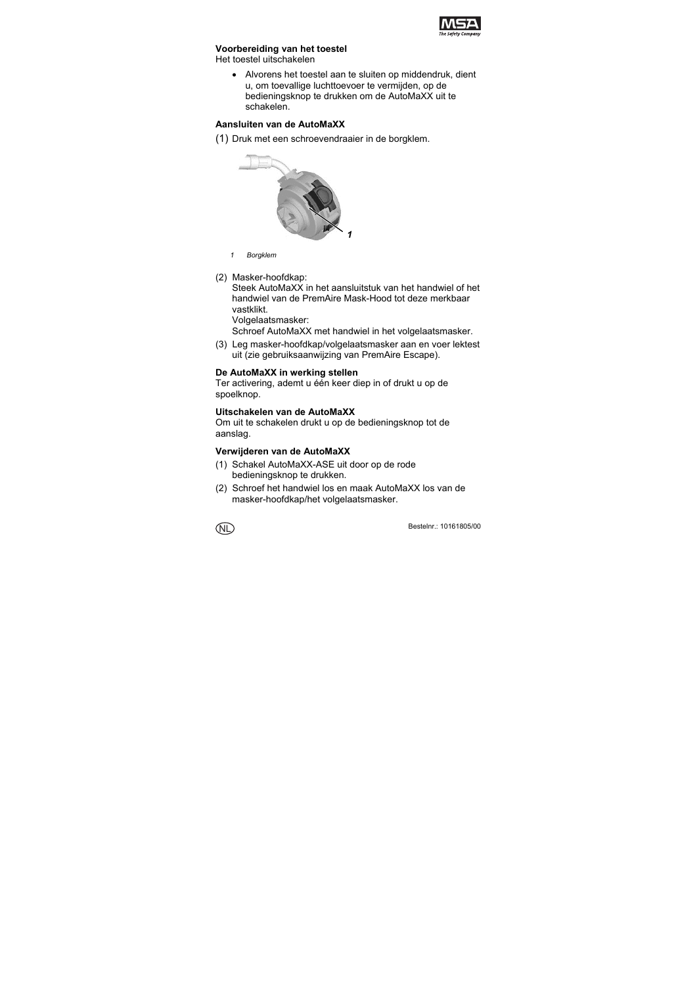

### **Voorbereiding van het toestel**

Het toestel uitschakelen

 Alvorens het toestel aan te sluiten op middendruk, dient u, om toevallige luchttoevoer te vermijden, op de bedieningsknop te drukken om de AutoMaXX uit te schakelen.

#### **Aansluiten van de AutoMaXX**

(1) Druk met een schroevendraaier in de borgklem.



- *1 Borgklem*
- (2) Masker-hoofdkap:

Steek AutoMaXX in het aansluitstuk van het handwiel of het handwiel van de PremAire Mask-Hood tot deze merkbaar vastklikt.

Volgelaatsmasker:

Schroef AutoMaXX met handwiel in het volgelaatsmasker.

(3) Leg masker-hoofdkap/volgelaatsmasker aan en voer lektest uit (zie gebruiksaanwijzing van PremAire Escape).

#### **De AutoMaXX in werking stellen**

Ter activering, ademt u één keer diep in of drukt u op de spoelknop.

# **Uitschakelen van de AutoMaXX**

Om uit te schakelen drukt u op de bedieningsknop tot de aanslag.

### **Verwijderen van de AutoMaXX**

- (1) Schakel AutoMaXX-ASE uit door op de rode bedieningsknop te drukken.
- (2) Schroef het handwiel los en maak AutoMaXX los van de masker-hoofdkap/het volgelaatsmasker.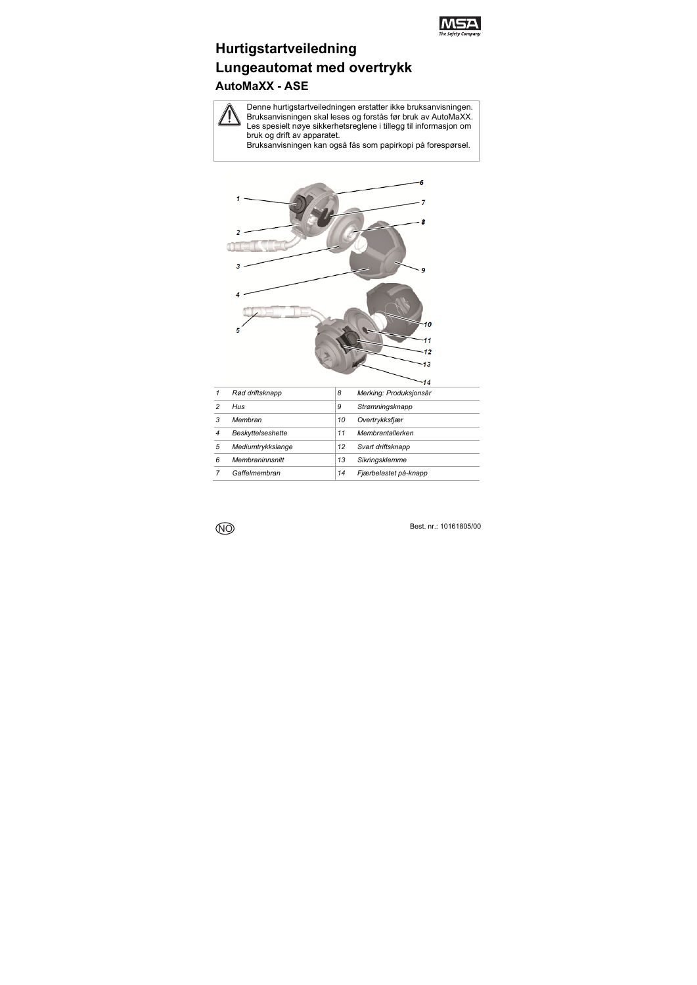

# **Hurtigstartveiledning Lungeautomat med overtrykk AutoMaXX - ASE**

Denne hurtigstartveiledningen erstatter ikke bruksanvisningen. Bruksanvisningen skal leses og forstås før bruk av AutoMaXX. Les spesielt nøye sikkerhetsreglene i tillegg til informasjon om bruk og drift av apparatet.

Bruksanvisningen kan også fås som papirkopi på forespørsel.



|   | Rød driftsknapp   | 8  | Merking: Produksjonsår |
|---|-------------------|----|------------------------|
| 2 | Hus               | 9  | Strømningsknapp        |
| 3 | Membran           | 10 | Overtrykksfjær         |
| 4 | Beskyttelseshette | 11 | Membrantallerken       |
| 5 | Mediumtrykkslange | 12 | Svart driftsknapp      |
| 6 | Membraninnsnitt   | 13 | Sikringsklemme         |
|   | Gaffelmembran     | 14 | Fjærbelastet på-knapp  |
|   |                   |    |                        |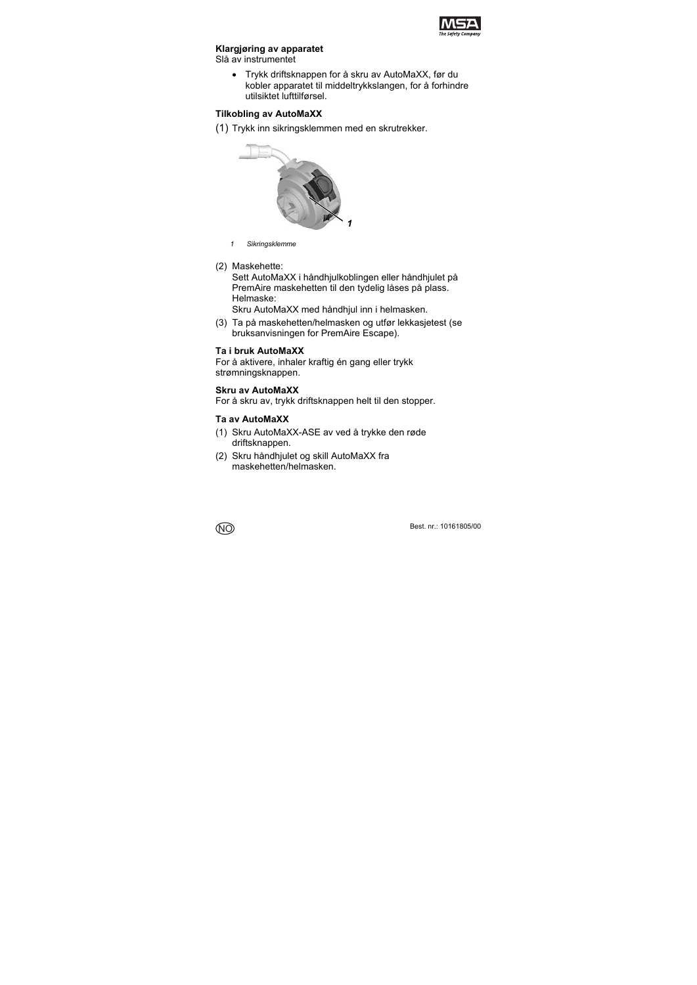

### **Klargjøring av apparatet**

Slå av instrumentet

 Trykk driftsknappen for å skru av AutoMaXX, før du kobler apparatet til middeltrykkslangen, for å forhindre utilsiktet lufttilførsel.

### **Tilkobling av AutoMaXX**

(1) Trykk inn sikringsklemmen med en skrutrekker.



- *1 Sikringsklemme*
- (2) Maskehette:

Sett AutoMaXX i håndhjulkoblingen eller håndhjulet på PremAire maskehetten til den tydelig låses på plass. Helmaske:

Skru AutoMaXX med håndhjul inn i helmasken.

(3) Ta på maskehetten/helmasken og utfør lekkasjetest (se bruksanvisningen for PremAire Escape).

#### **Ta i bruk AutoMaXX**

For å aktivere, inhaler kraftig én gang eller trykk strømningsknappen.

#### **Skru av AutoMaXX**

For å skru av, trykk driftsknappen helt til den stopper.

#### **Ta av AutoMaXX**

- (1) Skru AutoMaXX-ASE av ved å trykke den røde driftsknappen.
- (2) Skru håndhjulet og skill AutoMaXX fra maskehetten/helmasken.

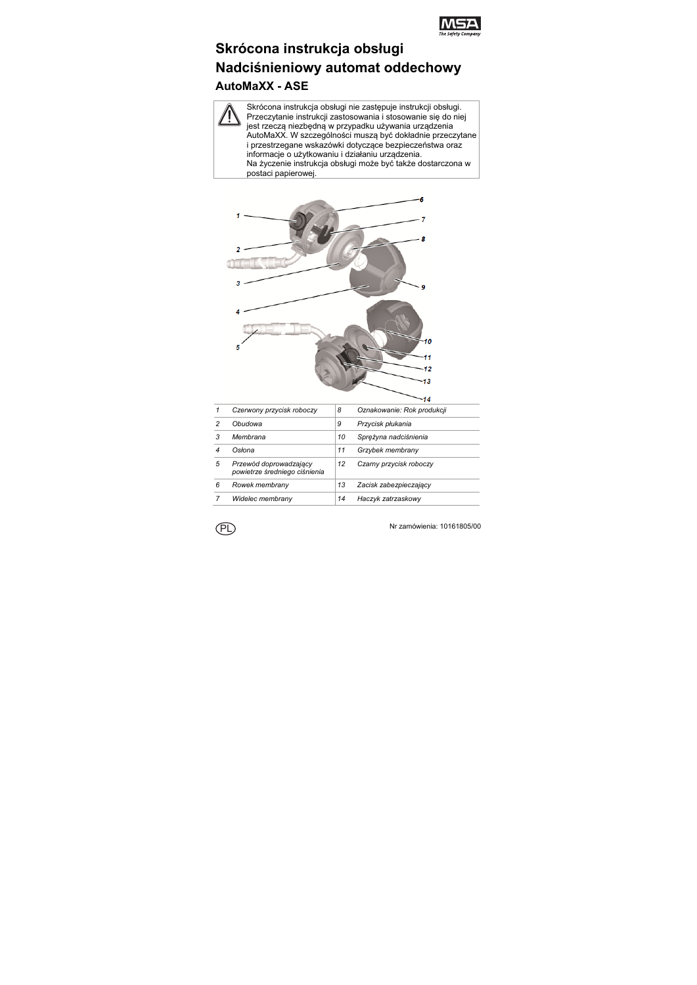

# **Skrócona instrukcja obsługi Nadciśnieniowy automat oddechowy AutoMaXX - ASE**

Skrócona instrukcja obsługi nie zastępuje instrukcji obsługi. Przeczytanie instrukcji zastosowania i stosowanie się do niej jest rzeczą niezbędną w przypadku używania urządzenia AutoMaXX. W szczególności muszą być dokładnie przeczytane i przestrzegane wskazówki dotyczące bezpieczeństwa oraz informacje o użytkowaniu i działaniu urządzenia. Na życzenie instrukcja obsługi może być także dostarczona w postaci papierowej.



|   | Czerwony przycisk roboczy                               | 8  | Oznakowanie: Rok produkcji |
|---|---------------------------------------------------------|----|----------------------------|
| 2 | Obudowa                                                 | 9  | Przycisk płukania          |
| 3 | Membrana                                                | 10 | Spreżyna nadciśnienia      |
|   | Osłona                                                  | 11 | Grzybek membrany           |
| 5 | Przewód doprowadzający<br>powietrze średniego ciśnienia | 12 | Czarny przycisk roboczy    |
| 6 | Rowek membrany                                          | 13 | Zacisk zabezpieczający     |
|   | Widelec membrany                                        | 14 | Haczyk zatrzaskowy         |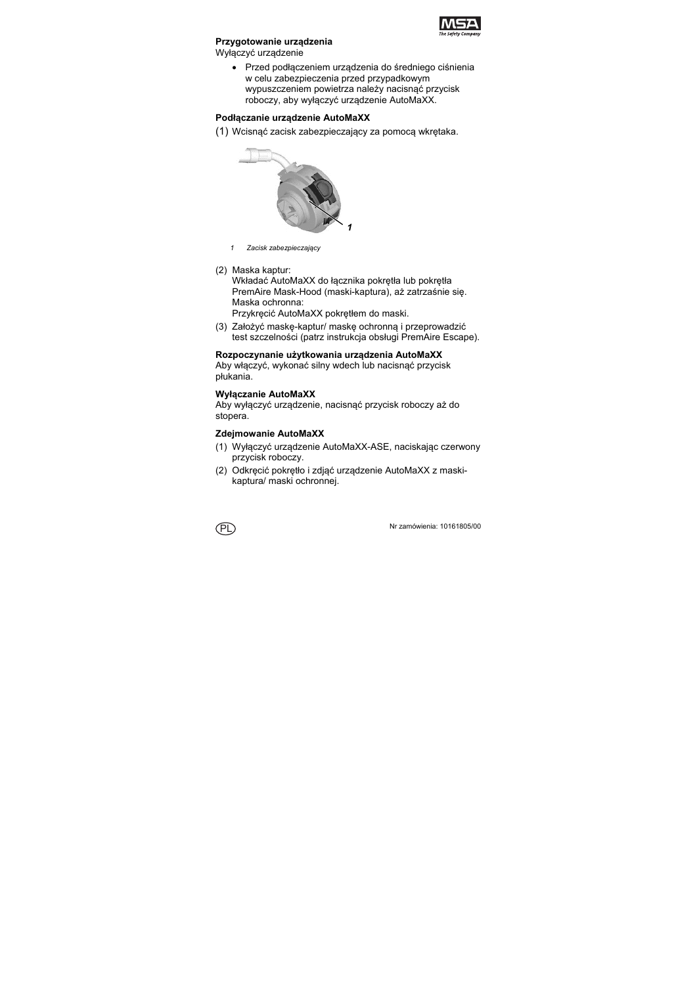

### **Przygotowanie urządzenia**

Wyłączyć urządzenie

 Przed podłączeniem urządzenia do średniego ciśnienia w celu zabezpieczenia przed przypadkowym wypuszczeniem powietrza należy nacisnąć przycisk roboczy, aby wyłączyć urządzenie AutoMaXX.

# **Podłączanie urządzenie AutoMaXX**

(1) Wcisnąć zacisk zabezpieczający za pomocą wkrętaka.



- *1 Zacisk zabezpieczający*
- (2) Maska kaptur:

Wkładać AutoMaXX do łacznika pokretła lub pokretła PremAire Mask-Hood (maski-kaptura), aż zatrzaśnie się. Maska ochronna:

Przykręcić AutoMaXX pokrętłem do maski.

(3) Założyć maskę-kaptur/ maskę ochronną i przeprowadzić test szczelności (patrz instrukcja obsługi PremAire Escape).

# **Rozpoczynanie użytkowania urządzenia AutoMaXX**

Aby włączyć, wykonać silny wdech lub nacisnąć przycisk płukania.

# **Wyłączanie AutoMaXX**

Aby wyłączyć urządzenie, nacisnąć przycisk roboczy aż do stopera.

### **Zdejmowanie AutoMaXX**

- (1) Wyłączyć urządzenie AutoMaXX-ASE, naciskając czerwony przycisk roboczy.
- (2) Odkręcić pokrętło i zdjąć urządzenie AutoMaXX z maskikaptura/ maski ochronnej.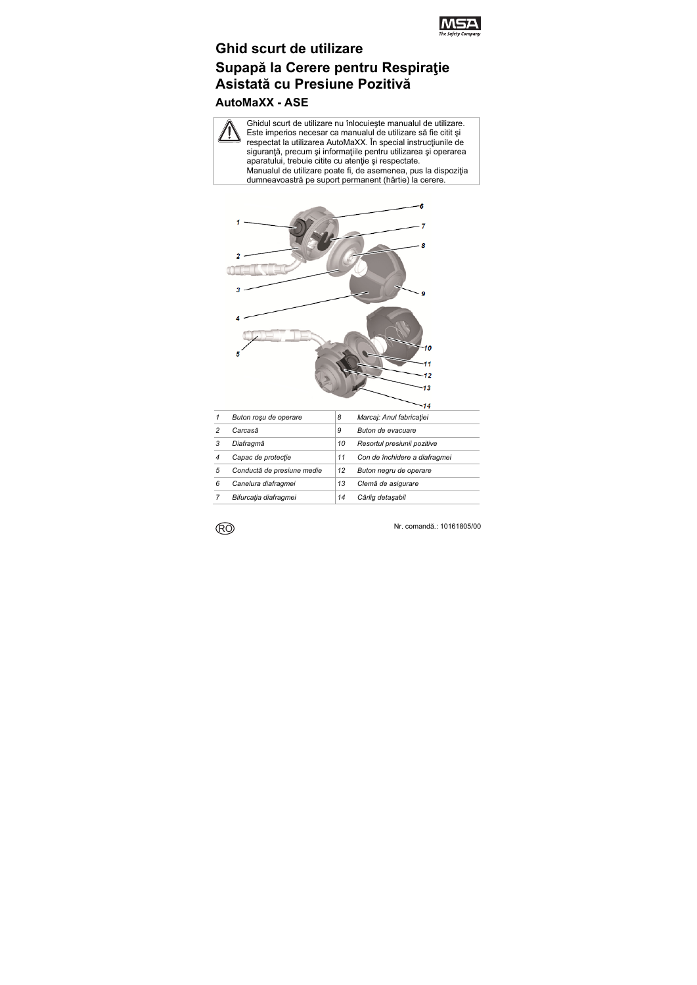

# **Ghid scurt de utilizare Supapă la Cerere pentru Respiraţie Asistată cu Presiune Pozitivă**

# **AutoMaXX - ASE**

Ghidul scurt de utilizare nu înlocuieşte manualul de utilizare. Este imperios necesar ca manualul de utilizare să fie citit şi respectat la utilizarea AutoMaXX. În special instrucțiunile de siguranță, precum și informațiile pentru utilizarea și operarea aparatului, trebuie citite cu atenție și respectate. Manualul de utilizare poate fi, de asemenea, pus la dispozitia dumneavoastră pe suport permanent (hârtie) la cerere.



| 1 | Buton rosu de operare      | 8  | Marcaj: Anul fabricatiei      |
|---|----------------------------|----|-------------------------------|
|   | Carcasă                    | 9  | Buton de evacuare             |
| 3 | Diafragmă                  | 10 | Resortul presiunii pozitive   |
|   | Capac de protectie         | 11 | Con de închidere a diafragmei |
| 5 | Conductă de presiune medie | 12 | Buton negru de operare        |
| 6 | Canelura diafragmei        | 13 | Clemă de asigurare            |
|   | Bifurcatia diafragmei      | 14 | Cârlig detasabil              |

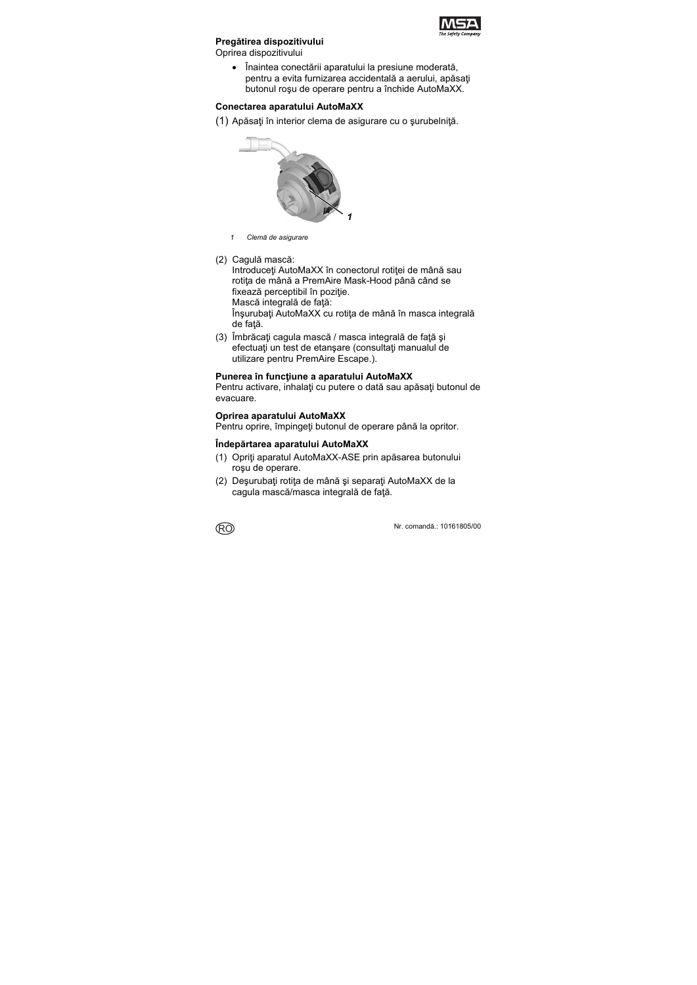

# **Pregătirea dispozitivului**

Oprirea dispozitivului

 Înaintea conectării aparatului la presiune moderată, pentru a evita furnizarea accidentală a aerului, apăsați butonul roşu de operare pentru a închide AutoMaXX.

#### **Conectarea aparatului AutoMaXX**

(1) Apăsaţi în interior clema de asigurare cu o şurubelniţă.



- *1 Clemă de asigurare*
- (2) Cagulă mască:

Introduceţi AutoMaXX în conectorul rotiţei de mână sau rotita de mână a PremAire Mask-Hood până când se fixează perceptibil în poziție.

Mască integrală de față:

Înşurubaţi AutoMaXX cu rotiţa de mână în masca integrală de fată.

(3) Îmbrăcați cagula mască / masca integrală de față și efectuati un test de etansare (consultati manualul de utilizare pentru PremAire Escape.).

#### **Punerea în funcţiune a aparatului AutoMaXX**

Pentru activare, inhalaţi cu putere o dată sau apăsaţi butonul de evacuare.

#### **Oprirea aparatului AutoMaXX**

Pentru oprire, împingeţi butonul de operare până la opritor.

### **Îndepărtarea aparatului AutoMaXX**

- (1) Opriţi aparatul AutoMaXX-ASE prin apăsarea butonului roşu de operare.
- (2) Deşurubaţi rotiţa de mână şi separaţi AutoMaXX de la cagula mască/masca integrală de față.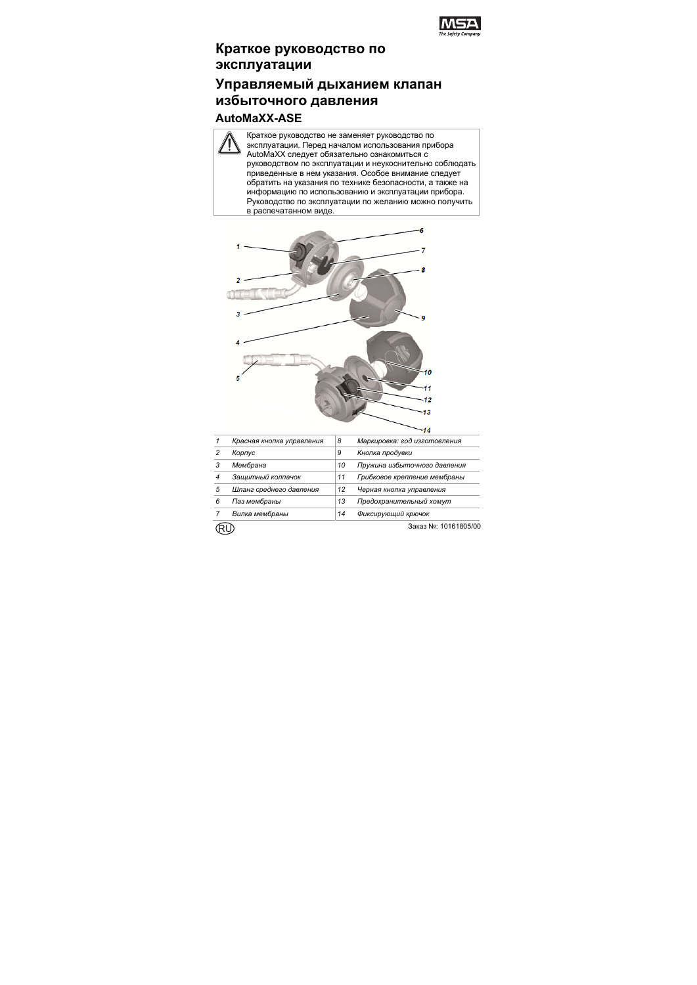

# **Краткое руководство по эксплуатации**

# **Управляемый дыханием клапан избыточного давления AutoMaXX-ASE**

#### Краткое руководство не заменяет руководство по эксплуатации. Перед началом использования прибора AutoMaXX следует обязательно ознакомиться с руководством по эксплуатации и неукоснительно соблюдать приведенные в нем указания. Особое внимание следует обратить на указания по технике безопасности, а также на информацию по использованию и эксплуатации прибора. Руководство по эксплуатации по желанию можно получить в распечатанном виде.



|   | Красная кнопка управления | 8  | Маркировка: год изготовления |
|---|---------------------------|----|------------------------------|
|   | Корпус                    | 9  | Кнопка продувки              |
|   | Мембрана                  | 10 | Пружина избыточного давления |
| 4 | Зашитный колпачок         | 11 | Грибковое крепление мембраны |
| 5 | Шланг среднего давления   | 12 | Черная кнопка управления     |
| 6 | Паз мембраны              | 13 | Предохранительный хомут      |
|   | Вилка мембраны            | 14 | Фиксирующий крючок           |

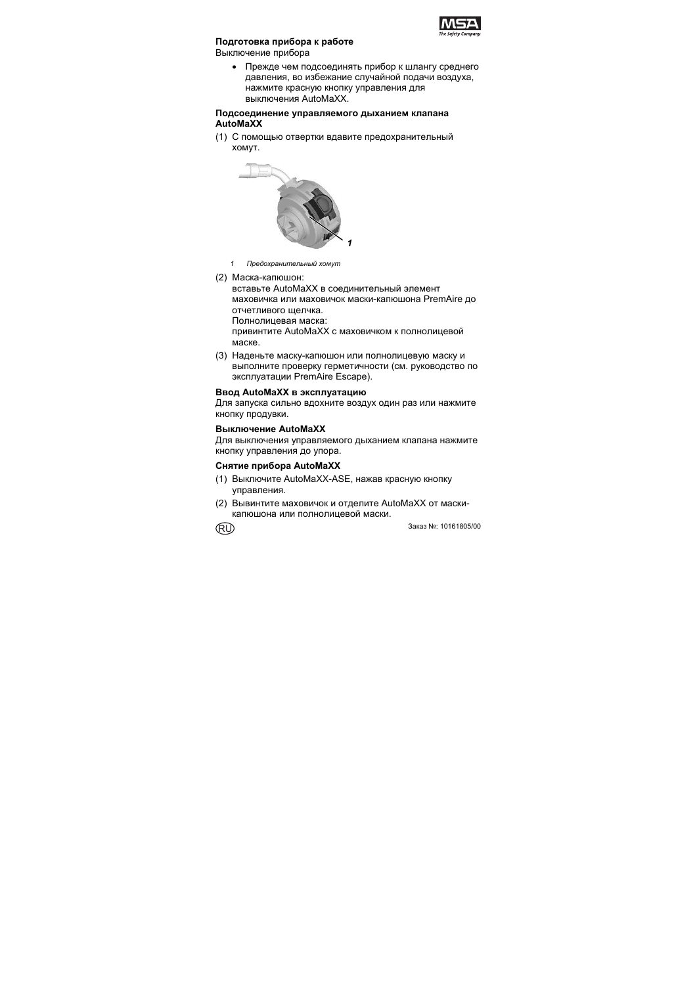

#### **Подготовка прибора к работе**

Выключение прибора

 Прежде чем подсоединять прибор к шлангу среднего давления, во избежание случайной подачи воздуха, нажмите красную кнопку управления для выключения AutoMaXX.

#### **Подсоединение управляемого дыханием клапана AutoMaXX**

(1) С помощью отвертки вдавите предохранительный хомут.



- *1 Предохранительный хомут*
- (2) Маска-капюшон:

вставьте AutoMaXX в соединительный элемент маховичка или маховичок маски-капюшона PremAire до отчетливого щелчка.

Полнолицевая маска:

привинтите AutoMaXX с маховичком к полнолицевой маске.

(3) Наденьте маску-капюшон или полнолицевую маску и выполните проверку герметичности (см. руководство по эксплуатации PremAire Escape).

# **Ввод AutoMaXX в эксплуатацию**

Для запуска сильно вдохните воздух один раз или нажмите кнопку продувки.

#### **Выключение AutoMaXX**

Для выключения управляемого дыханием клапана нажмите кнопку управления до упора.

#### **Снятие прибора AutoMaXX**

- (1) Выключите AutoMaXX-ASE, нажав красную кнопку управления.
- (2) Вывинтите маховичок и отделите AutoMaXX от маскикапюшона или полнолицевой маски.

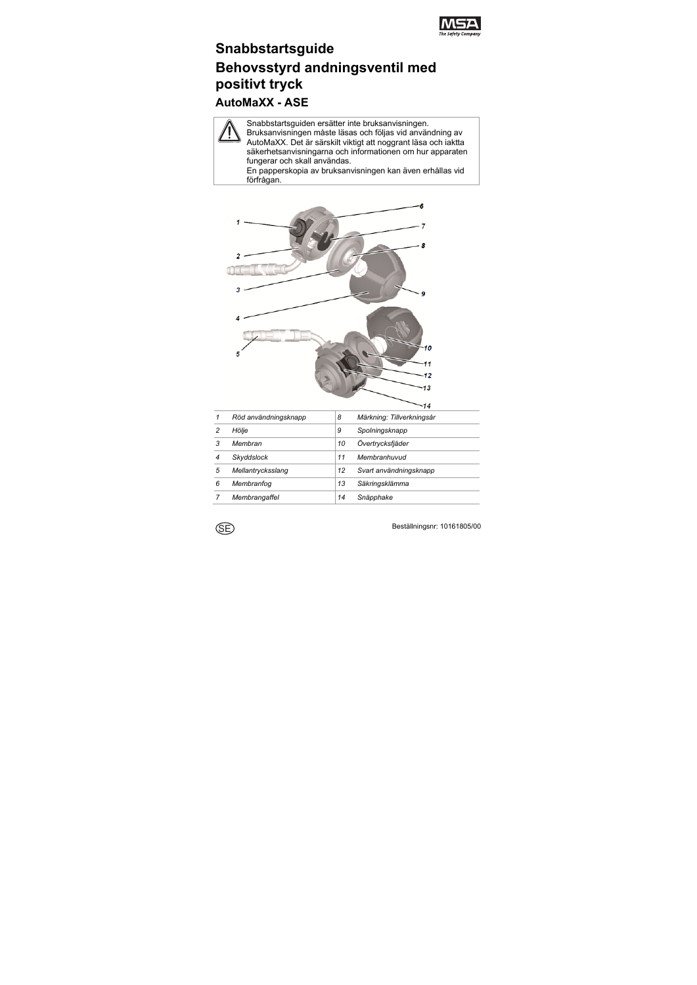

# **Snabbstartsguide Behovsstyrd andningsventil med positivt tryck**

# **AutoMaXX - ASE**

Snabbstartsguiden ersätter inte bruksanvisningen. Bruksanvisningen måste läsas och följas vid användning av AutoMaXX. Det är särskilt viktigt att noggrant läsa och iaktta säkerhetsanvisningarna och informationen om hur apparaten fungerar och skall användas.

En papperskopia av bruksanvisningen kan även erhållas vid förfrågan.



| 1 | Röd användningsknapp | 8  | Märkning: Tillverkningsår |
|---|----------------------|----|---------------------------|
| 2 | Hölie                | 9  | Spolningsknapp            |
| 3 | Membran              | 10 | Övertrycksfjäder          |
|   | Skyddslock           | 11 | Membranhuvud              |
| 5 | Mellantrycksslang    | 12 | Svart användningsknapp    |
| 6 | Membranfog           | 13 | Säkringsklämma            |
|   | Membrangaffel        | 14 | Snäpphake                 |

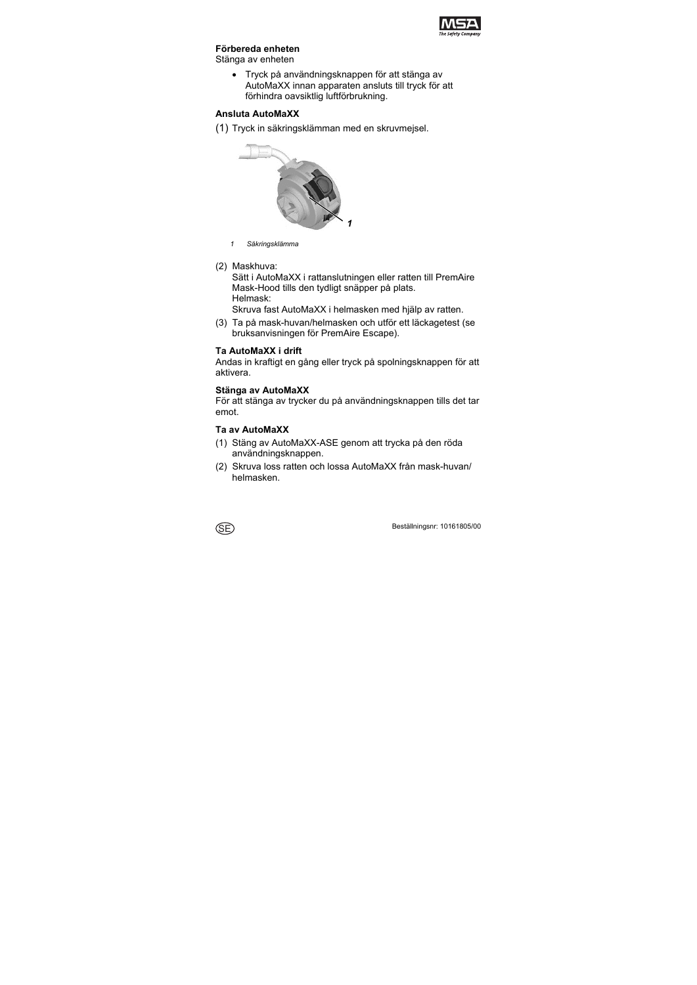

#### **Förbereda enheten**

Stänga av enheten

 Tryck på användningsknappen för att stänga av AutoMaXX innan apparaten ansluts till tryck för att förhindra oavsiktlig luftförbrukning.

## **Ansluta AutoMaXX**

(1) Tryck in säkringsklämman med en skruvmejsel.



- *1 Säkringsklämma*
- (2) Maskhuva:

Sätt i AutoMaXX i rattanslutningen eller ratten till PremAire Mask-Hood tills den tydligt snäpper på plats. Helmask:

Skruva fast AutoMaXX i helmasken med hjälp av ratten.

(3) Ta på mask-huvan/helmasken och utför ett läckagetest (se bruksanvisningen för PremAire Escape).

#### **Ta AutoMaXX i drift**

Andas in kraftigt en gång eller tryck på spolningsknappen för att aktivera.

#### **Stänga av AutoMaXX**

För att stänga av trycker du på användningsknappen tills det tar emot.

#### **Ta av AutoMaXX**

- (1) Stäng av AutoMaXX-ASE genom att trycka på den röda användningsknappen.
- (2) Skruva loss ratten och lossa AutoMaXX från mask-huvan/ helmasken.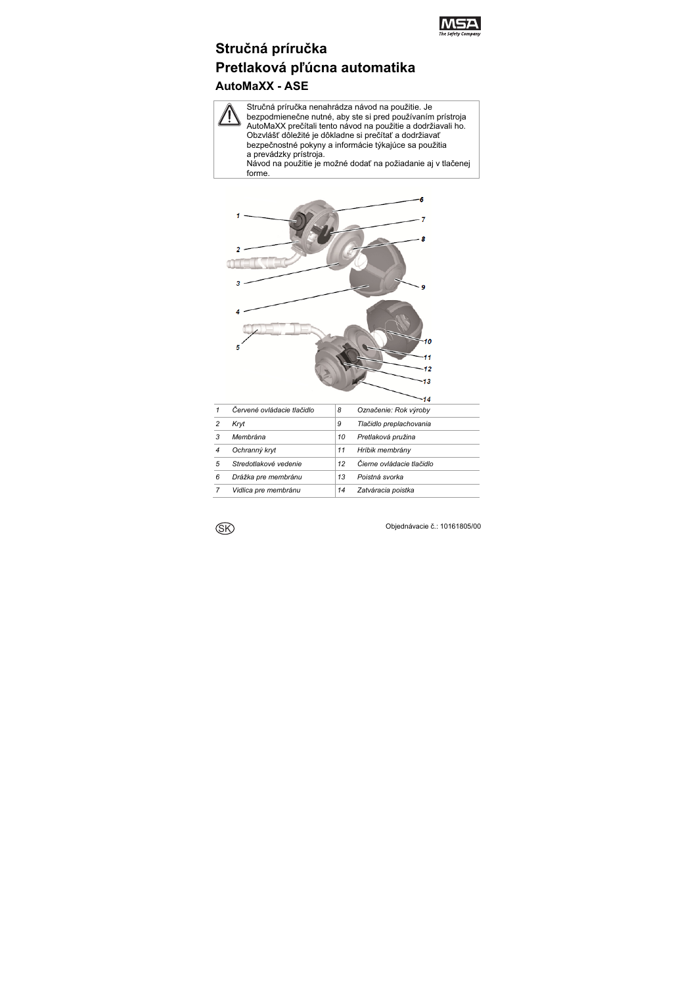

# **Stručná príručka Pretlaková pľúcna automatika AutoMaXX - ASE**

Stručná príručka nenahrádza návod na použitie. Je bezpodmienečne nutné, aby ste si pred používaním prístroja AutoMaXX prečítali tento návod na použitie a dodržiavali ho. Obzvlášť dôležité je dôkladne si prečítať a dodržiavať bezpečnostné pokyny a informácie týkajúce sa použitia a prevádzky prístroja. Návod na použitie je možné dodať na požiadanie aj v tlačenej forme.



|   | Červené ovládacie tlačidlo | 8  | Označenie: Rok výroby     |
|---|----------------------------|----|---------------------------|
|   | Kryt                       | 9  | Tlačidlo preplachovania   |
| 3 | Membrána                   | 10 | Pretlaková pružina        |
|   | Ochranný kryt              | 11 | Hríbik membrány           |
| 5 | Stredotlakové vedenie      | 12 | Čierne ovládacie tlačidlo |
| 6 | Drážka pre membránu        | 13 | Poistná svorka            |
|   | Vidlica pre membránu       | 14 | Zatváracia poistka        |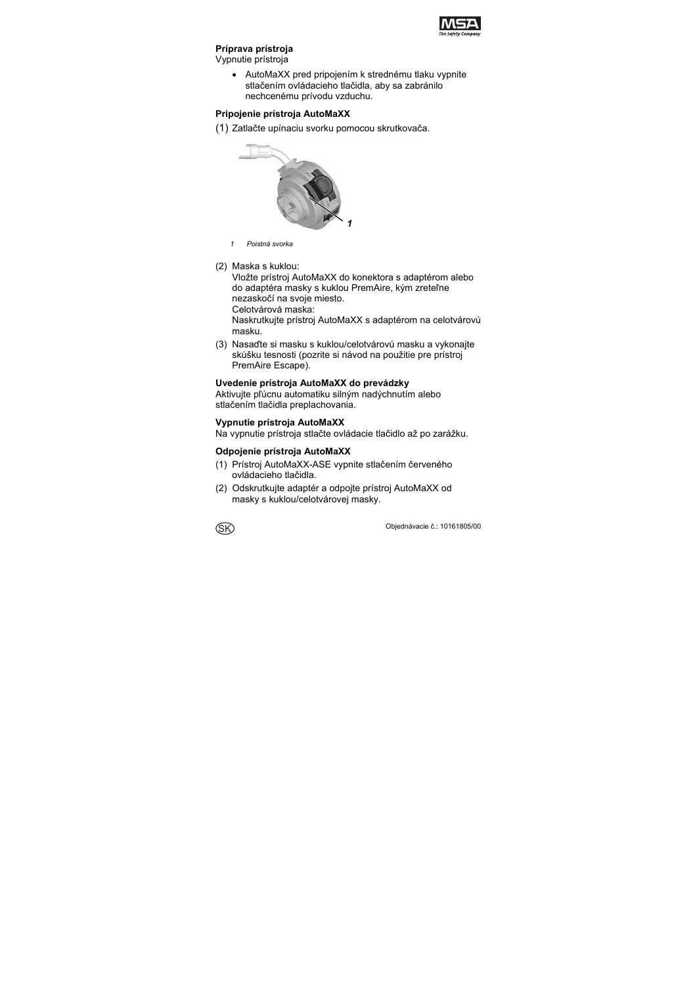

## **Príprava prístroja**

Vypnutie prístroja

 AutoMaXX pred pripojením k strednému tlaku vypnite stlačením ovládacieho tlačidla, aby sa zabránilo nechcenému prívodu vzduchu.

### **Pripojenie prístroja AutoMaXX**

(1) Zatlačte upínaciu svorku pomocou skrutkovača.



- *1 Poistná svorka*
- (2) Maska s kuklou:

Vložte prístroj AutoMaXX do konektora s adaptérom alebo do adaptéra masky s kuklou PremAire, kým zreteľne nezaskočí na svoje miesto.

Celotvárová maska:

Naskrutkujte prístroj AutoMaXX s adaptérom na celotvárovú masku.

(3) Nasaďte si masku s kuklou/celotvárovú masku a vykonajte skúšku tesnosti (pozrite si návod na použitie pre prístroj PremAire Escape).

#### **Uvedenie prístroja AutoMaXX do prevádzky**

Aktivujte pľúcnu automatiku silným nadýchnutím alebo stlačením tlačidla preplachovania.

## **Vypnutie prístroja AutoMaXX**

Na vypnutie prístroja stlačte ovládacie tlačidlo až po zarážku.

### **Odpojenie prístroja AutoMaXX**

- (1) Prístroj AutoMaXX-ASE vypnite stlačením červeného ovládacieho tlačidla.
- (2) Odskrutkujte adaptér a odpojte prístroj AutoMaXX od masky s kuklou/celotvárovej masky.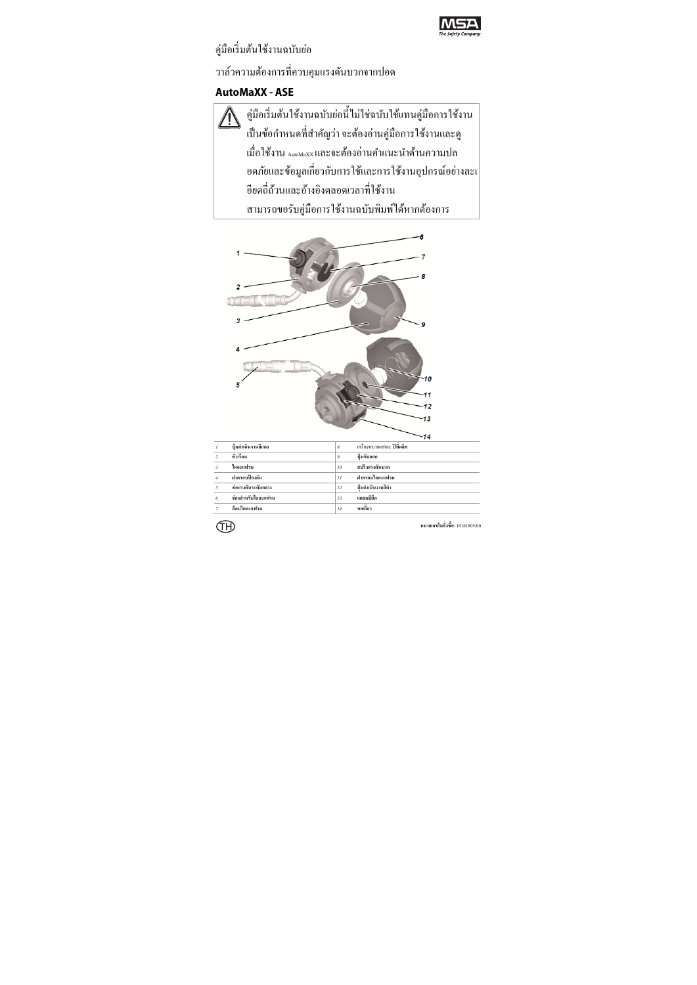

# ค่มือเริ่มต้นใช้งานฉบับย่อ ้ วาล์วความต้องการที่ควบคมแรงดันบวกจากปอด

# **AutoMaXX - ASE**

คู่มือเริ่มต้นใช้งานฉบับย่อนี้ไม่ใช่ฉบับใช้แทนคู่มือการใช้งาน ่ เป็นข้อกำหนดที่สำคัญว่า จะต้องอ่านคู่มือการใช้งานและดู เมื่อใช้งาน ฉwwwxx และจะต้องอ่านคำแนะนำด้านความปล ้ อดภัยและข้อมูลเกี่ยวกับการใช้และการใช้งานอุปกรณ์อย่างละเ ้อียดกี่ถ้วนและอ้างอิงตลอดเวลาที่ใช้งาน ี สามารถขอรับคู่มือการใช้งานฉบับพิมพ์ใด้หากต้องการ

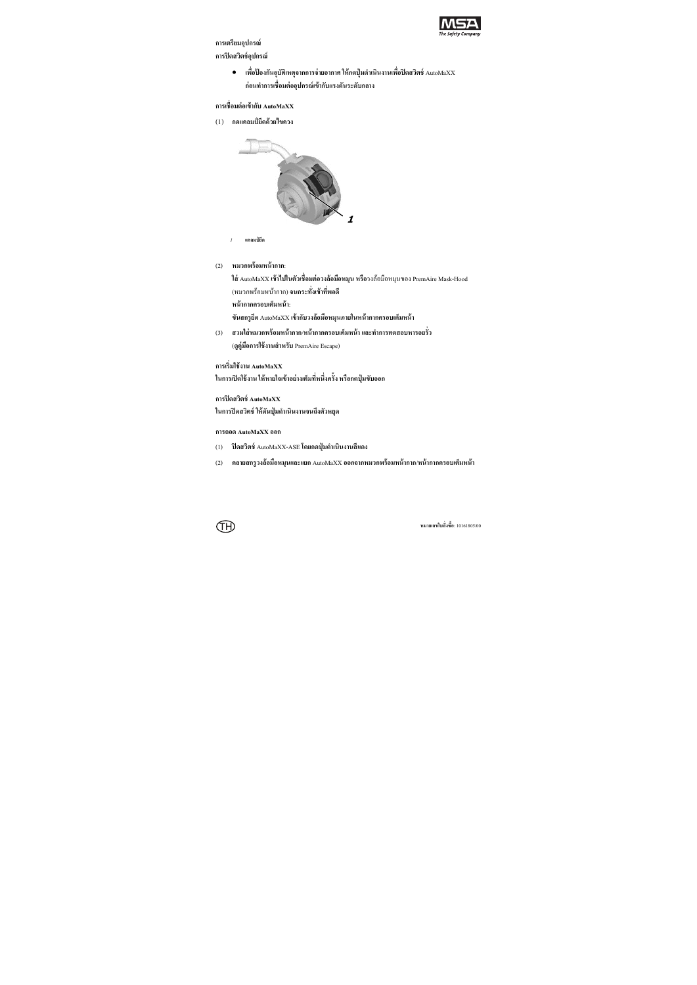

#### **การเตรียมอุปกรณ์ การปิดสวตชิ ์อุปกรณ์**

 **เพอปื่ ้องกนอั ุบัติเหตุจากการจ่ายอากาศ ให้กดปุ่มดําเนินงานเพอปื่ ิดสวตชิ ์**AutoMaXX **ก่อนทาการเช ํ ื่อมต่ออุปกรณ์เข้ากบแรงด ั ันระดับกลาง**

#### **การเชื่อมต่อเข้ากบั AutoMaXX**

(1) **กดแคลมป์ยดดึ ้วยไขควง**



```
1 แคลมป์ยดึ
```
(2) **หมวกพร้อมหน้ากาก**:

**ใส่** AutoMaXX **เข้าไปในตัวเชื่อมต่อวงล้อมือหมุน หรือ**วงลอม้ ือหมุนของ PremAire Mask-Hood (หมวกพร้อมหนากาก ้ ) **จนกระทงเขั่ ้าทพอด ี่ ี**

**หน้ากากครอบเต็มหน้า**:

**ขันสกรูยดึ** AutoMaXX **เข้ากบวงล ั ้อมือหมุนภายในหน้ากากครอบเต็มหน้า**

(3) **สวมใส่หมวกพร้อมหน้ากาก**/**หน้ากากครอบเต็มหน้าและทาการทดสอบหารอยร ํ ั่ว**

(**ดูคู่มือการใช้งานสําหรับ** PremAire Escape)

#### **การเริ่มใช้งาน AutoMaXX**

**ในการเปิดใช้งาน ให้หายใจเข้าอย่างเต็มทหนี่ ึ่งคร้ัง หรือกดปุ่มขับออก**

#### **การปิดสวตชิ ์ AutoMaXX**

**ในการปิดสวตชิ ์ให้ดันปุ่มดําเนินงานจนถึงตัวหยุด**

#### **การถอด AutoMaXX ออก**

- (1) **ปิดสวตชิ ์**AutoMaXX-ASE **โดยกดป่มดุ ําเนินงานสีแดง**
- (2) **คลายสกรูวงล้อมือหมุนและแยก** AutoMaXX **ออกจากหมวกพร้อมหน้ากาก**/**หน้ากากครอบเต็มหน้า**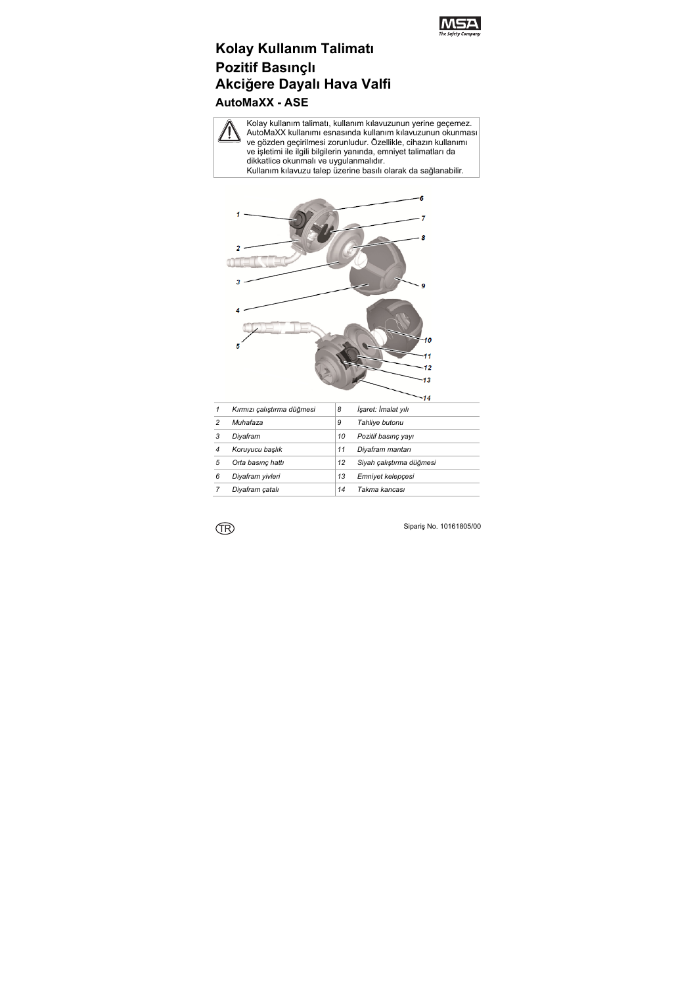

# **Kolay Kullanım Talimatı Pozitif Basınçlı Akciğere Dayalı Hava Valfi AutoMaXX - ASE**

Kolay kullanım talimatı, kullanım kılavuzunun yerine geçemez. AutoMaXX kullanımı esnasında kullanım kılavuzunun okunması ve gözden geçirilmesi zorunludur. Özellikle, cihazın kullanımı ve işletimi ile ilgili bilgilerin yanında, emniyet talimatları da dikkatlice okunmalı ve uygulanmalıdır.

Kullanım kılavuzu talep üzerine basılı olarak da sağlanabilir.



| 1 | Kırmızı çalıştırma düğmesi | 8  | İşaret: İmalat yılı      |
|---|----------------------------|----|--------------------------|
| 2 | Muhafaza                   | 9  | Tahliye butonu           |
| 3 | Diyafram                   | 10 | Pozitif basınç yayı      |
| 4 | Koruyucu başlık            | 11 | Diyafram mantarı         |
| 5 | Orta basınç hattı          | 12 | Siyah çalıştırma düğmesi |
| 6 | Diyafram yivleri           | 13 | Emniyet kelepçesi        |
|   | Diyafram çatalı            | 14 | Takma kancası            |